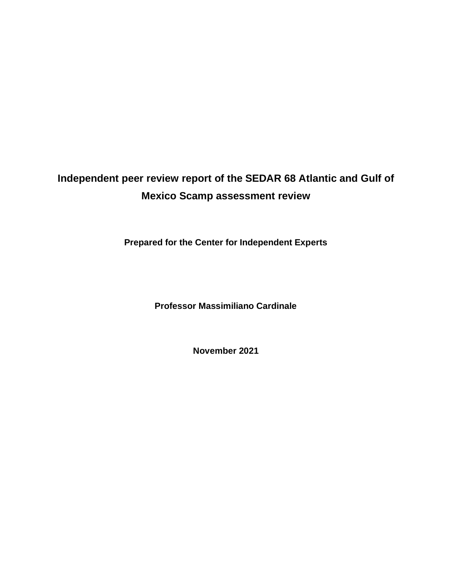# **Independent peer review report of the SEDAR 68 Atlantic and Gulf of Mexico Scamp assessment review**

**Prepared for the Center for Independent Experts**

**Professor Massimiliano Cardinale**

**November 2021**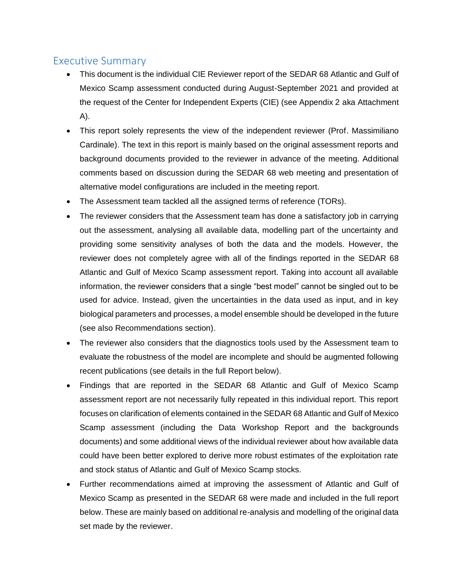## Executive Summary

- This document is the individual CIE Reviewer report of the SEDAR 68 Atlantic and Gulf of Mexico Scamp assessment conducted during August-September 2021 and provided at the request of the Center for Independent Experts (CIE) (see Appendix 2 aka Attachment A).
- This report solely represents the view of the independent reviewer (Prof. Massimiliano Cardinale). The text in this report is mainly based on the original assessment reports and background documents provided to the reviewer in advance of the meeting. Additional comments based on discussion during the SEDAR 68 web meeting and presentation of alternative model configurations are included in the meeting report.
- The Assessment team tackled all the assigned terms of reference (TORs).
- The reviewer considers that the Assessment team has done a satisfactory job in carrying out the assessment, analysing all available data, modelling part of the uncertainty and providing some sensitivity analyses of both the data and the models. However, the reviewer does not completely agree with all of the findings reported in the SEDAR 68 Atlantic and Gulf of Mexico Scamp assessment report. Taking into account all available information, the reviewer considers that a single "best model" cannot be singled out to be used for advice. Instead, given the uncertainties in the data used as input, and in key biological parameters and processes, a model ensemble should be developed in the future (see also Recommendations section).
- The reviewer also considers that the diagnostics tools used by the Assessment team to evaluate the robustness of the model are incomplete and should be augmented following recent publications (see details in the full Report below).
- Findings that are reported in the SEDAR 68 Atlantic and Gulf of Mexico Scamp assessment report are not necessarily fully repeated in this individual report. This report focuses on clarification of elements contained in the SEDAR 68 Atlantic and Gulf of Mexico Scamp assessment (including the Data Workshop Report and the backgrounds documents) and some additional views of the individual reviewer about how available data could have been better explored to derive more robust estimates of the exploitation rate and stock status of Atlantic and Gulf of Mexico Scamp stocks.
- Further recommendations aimed at improving the assessment of Atlantic and Gulf of Mexico Scamp as presented in the SEDAR 68 were made and included in the full report below. These are mainly based on additional re-analysis and modelling of the original data set made by the reviewer.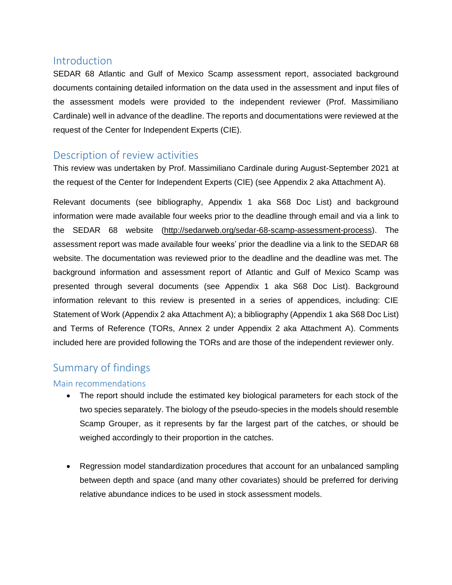## **Introduction**

SEDAR 68 Atlantic and Gulf of Mexico Scamp assessment report, associated background documents containing detailed information on the data used in the assessment and input files of the assessment models were provided to the independent reviewer (Prof. Massimiliano Cardinale) well in advance of the deadline. The reports and documentations were reviewed at the request of the Center for Independent Experts (CIE).

## Description of review activities

This review was undertaken by Prof. Massimiliano Cardinale during August-September 2021 at the request of the Center for Independent Experts (CIE) (see Appendix 2 aka Attachment A).

Relevant documents (see bibliography, Appendix 1 aka S68 Doc List) and background information were made available four weeks prior to the deadline through email and via a link to the SEDAR 68 website (http://sedarweb.org/sedar-68-scamp-assessment-process). The assessment report was made available four weeks' prior the deadline via a link to the SEDAR 68 website. The documentation was reviewed prior to the deadline and the deadline was met. The background information and assessment report of Atlantic and Gulf of Mexico Scamp was presented through several documents (see Appendix 1 aka S68 Doc List). Background information relevant to this review is presented in a series of appendices, including: CIE Statement of Work (Appendix 2 aka Attachment A); a bibliography (Appendix 1 aka S68 Doc List) and Terms of Reference (TORs, Annex 2 under Appendix 2 aka Attachment A). Comments included here are provided following the TORs and are those of the independent reviewer only.

## Summary of findings

## Main recommendations

- The report should include the estimated key biological parameters for each stock of the two species separately. The biology of the pseudo-species in the models should resemble Scamp Grouper, as it represents by far the largest part of the catches, or should be weighed accordingly to their proportion in the catches.
- Regression model standardization procedures that account for an unbalanced sampling between depth and space (and many other covariates) should be preferred for deriving relative abundance indices to be used in stock assessment models.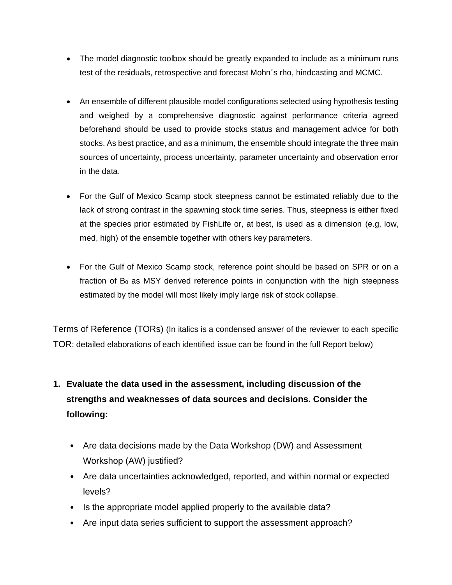- The model diagnostic toolbox should be greatly expanded to include as a minimum runs test of the residuals, retrospective and forecast Mohn´s rho, hindcasting and MCMC.
- An ensemble of different plausible model configurations selected using hypothesis testing and weighed by a comprehensive diagnostic against performance criteria agreed beforehand should be used to provide stocks status and management advice for both stocks. As best practice, and as a minimum, the ensemble should integrate the three main sources of uncertainty, process uncertainty, parameter uncertainty and observation error in the data.
- For the Gulf of Mexico Scamp stock steepness cannot be estimated reliably due to the lack of strong contrast in the spawning stock time series. Thus, steepness is either fixed at the species prior estimated by FishLife or, at best, is used as a dimension (e.g, low, med, high) of the ensemble together with others key parameters.
- For the Gulf of Mexico Scamp stock, reference point should be based on SPR or on a fraction of  $B_0$  as MSY derived reference points in conjunction with the high steepness estimated by the model will most likely imply large risk of stock collapse.

Terms of Reference (TORs) (In italics is a condensed answer of the reviewer to each specific TOR; detailed elaborations of each identified issue can be found in the full Report below)

## **1. Evaluate the data used in the assessment, including discussion of the strengths and weaknesses of data sources and decisions. Consider the following:**

- Are data decisions made by the Data Workshop (DW) and Assessment Workshop (AW) justified?
- Are data uncertainties acknowledged, reported, and within normal or expected levels?
- Is the appropriate model applied properly to the available data?
- Are input data series sufficient to support the assessment approach?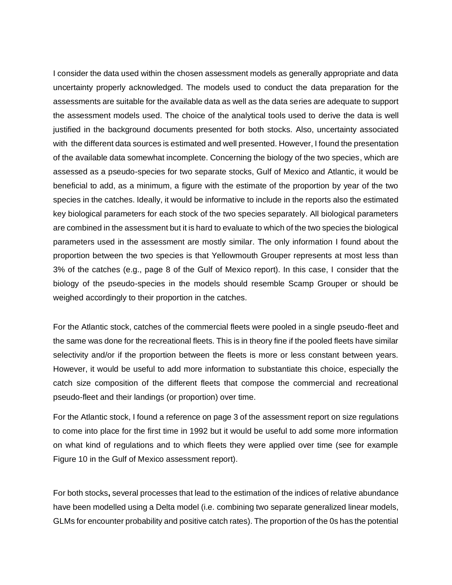I consider the data used within the chosen assessment models as generally appropriate and data uncertainty properly acknowledged. The models used to conduct the data preparation for the assessments are suitable for the available data as well as the data series are adequate to support the assessment models used. The choice of the analytical tools used to derive the data is well justified in the background documents presented for both stocks. Also, uncertainty associated with the different data sources is estimated and well presented. However, I found the presentation of the available data somewhat incomplete. Concerning the biology of the two species, which are assessed as a pseudo-species for two separate stocks, Gulf of Mexico and Atlantic, it would be beneficial to add, as a minimum, a figure with the estimate of the proportion by year of the two species in the catches. Ideally, it would be informative to include in the reports also the estimated key biological parameters for each stock of the two species separately. All biological parameters are combined in the assessment but it is hard to evaluate to which of the two species the biological parameters used in the assessment are mostly similar. The only information I found about the proportion between the two species is that Yellowmouth Grouper represents at most less than 3% of the catches (e.g., page 8 of the Gulf of Mexico report). In this case, I consider that the biology of the pseudo-species in the models should resemble Scamp Grouper or should be weighed accordingly to their proportion in the catches.

For the Atlantic stock, catches of the commercial fleets were pooled in a single pseudo-fleet and the same was done for the recreational fleets. This is in theory fine if the pooled fleets have similar selectivity and/or if the proportion between the fleets is more or less constant between years. However, it would be useful to add more information to substantiate this choice, especially the catch size composition of the different fleets that compose the commercial and recreational pseudo-fleet and their landings (or proportion) over time.

For the Atlantic stock, I found a reference on page 3 of the assessment report on size regulations to come into place for the first time in 1992 but it would be useful to add some more information on what kind of regulations and to which fleets they were applied over time (see for example Figure 10 in the Gulf of Mexico assessment report).

For both stocks**,** several processes that lead to the estimation of the indices of relative abundance have been modelled using a Delta model (i.e. combining two separate generalized linear models, GLMs for encounter probability and positive catch rates). The proportion of the 0s has the potential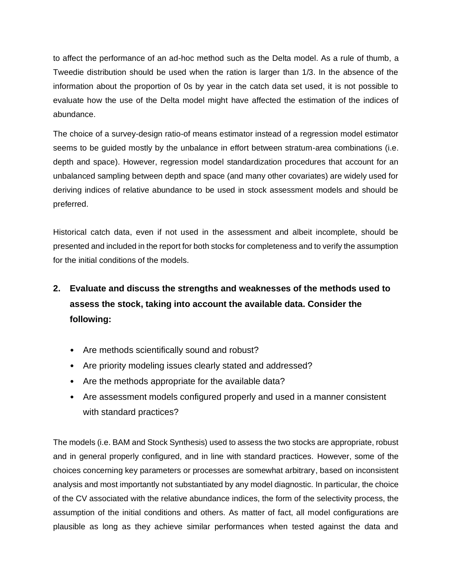to affect the performance of an ad-hoc method such as the Delta model. As a rule of thumb, a Tweedie distribution should be used when the ration is larger than 1/3. In the absence of the information about the proportion of 0s by year in the catch data set used, it is not possible to evaluate how the use of the Delta model might have affected the estimation of the indices of abundance.

The choice of a survey-design ratio-of means estimator instead of a regression model estimator seems to be guided mostly by the unbalance in effort between stratum-area combinations (i.e. depth and space). However, regression model standardization procedures that account for an unbalanced sampling between depth and space (and many other covariates) are widely used for deriving indices of relative abundance to be used in stock assessment models and should be preferred.

Historical catch data, even if not used in the assessment and albeit incomplete, should be presented and included in the report for both stocks for completeness and to verify the assumption for the initial conditions of the models.

## **2. Evaluate and discuss the strengths and weaknesses of the methods used to assess the stock, taking into account the available data. Consider the following:**

- Are methods scientifically sound and robust?
- Are priority modeling issues clearly stated and addressed?
- Are the methods appropriate for the available data?
- Are assessment models configured properly and used in a manner consistent with standard practices?

The models (i.e. BAM and Stock Synthesis) used to assess the two stocks are appropriate, robust and in general properly configured, and in line with standard practices. However, some of the choices concerning key parameters or processes are somewhat arbitrary, based on inconsistent analysis and most importantly not substantiated by any model diagnostic. In particular, the choice of the CV associated with the relative abundance indices, the form of the selectivity process, the assumption of the initial conditions and others. As matter of fact, all model configurations are plausible as long as they achieve similar performances when tested against the data and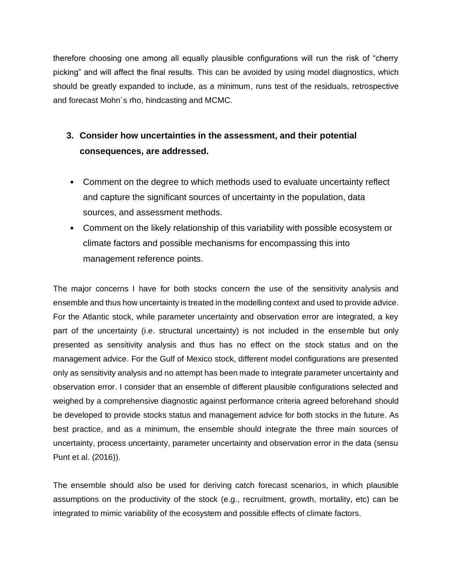therefore choosing one among all equally plausible configurations will run the risk of "cherry picking" and will affect the final results. This can be avoided by using model diagnostics, which should be greatly expanded to include, as a minimum, runs test of the residuals, retrospective and forecast Mohn´s rho, hindcasting and MCMC.

## **3. Consider how uncertainties in the assessment, and their potential consequences, are addressed.**

- Comment on the degree to which methods used to evaluate uncertainty reflect and capture the significant sources of uncertainty in the population, data sources, and assessment methods.
- Comment on the likely relationship of this variability with possible ecosystem or climate factors and possible mechanisms for encompassing this into management reference points.

The major concerns I have for both stocks concern the use of the sensitivity analysis and ensemble and thus how uncertainty is treated in the modelling context and used to provide advice. For the Atlantic stock, while parameter uncertainty and observation error are integrated, a key part of the uncertainty (i.e. structural uncertainty) is not included in the ensemble but only presented as sensitivity analysis and thus has no effect on the stock status and on the management advice. For the Gulf of Mexico stock, different model configurations are presented only as sensitivity analysis and no attempt has been made to integrate parameter uncertainty and observation error. I consider that an ensemble of different plausible configurations selected and weighed by a comprehensive diagnostic against performance criteria agreed beforehand should be developed to provide stocks status and management advice for both stocks in the future. As best practice, and as a minimum, the ensemble should integrate the three main sources of uncertainty, process uncertainty, parameter uncertainty and observation error in the data (sensu Punt et al. (2016)).

The ensemble should also be used for deriving catch forecast scenarios, in which plausible assumptions on the productivity of the stock (e.g., recruitment, growth, mortality, etc) can be integrated to mimic variability of the ecosystem and possible effects of climate factors.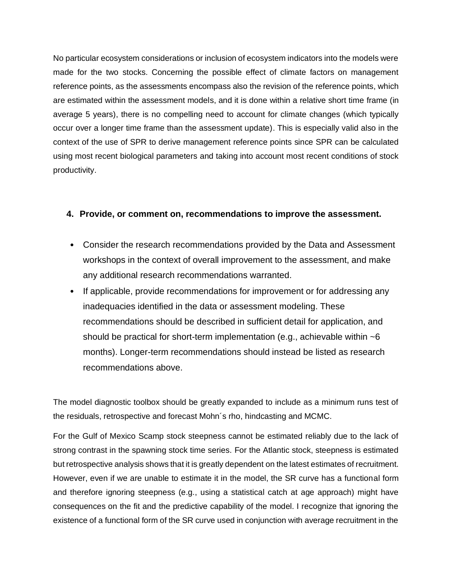No particular ecosystem considerations or inclusion of ecosystem indicators into the models were made for the two stocks. Concerning the possible effect of climate factors on management reference points, as the assessments encompass also the revision of the reference points, which are estimated within the assessment models, and it is done within a relative short time frame (in average 5 years), there is no compelling need to account for climate changes (which typically occur over a longer time frame than the assessment update). This is especially valid also in the context of the use of SPR to derive management reference points since SPR can be calculated using most recent biological parameters and taking into account most recent conditions of stock productivity.

## **4. Provide, or comment on, recommendations to improve the assessment.**

- Consider the research recommendations provided by the Data and Assessment workshops in the context of overall improvement to the assessment, and make any additional research recommendations warranted.
- If applicable, provide recommendations for improvement or for addressing any inadequacies identified in the data or assessment modeling. These recommendations should be described in sufficient detail for application, and should be practical for short-term implementation (e.g., achievable within  $\sim$ 6 months). Longer-term recommendations should instead be listed as research recommendations above.

The model diagnostic toolbox should be greatly expanded to include as a minimum runs test of the residuals, retrospective and forecast Mohn´s rho, hindcasting and MCMC.

For the Gulf of Mexico Scamp stock steepness cannot be estimated reliably due to the lack of strong contrast in the spawning stock time series. For the Atlantic stock, steepness is estimated but retrospective analysis shows that it is greatly dependent on the latest estimates of recruitment. However, even if we are unable to estimate it in the model, the SR curve has a functional form and therefore ignoring steepness (e.g., using a statistical catch at age approach) might have consequences on the fit and the predictive capability of the model. I recognize that ignoring the existence of a functional form of the SR curve used in conjunction with average recruitment in the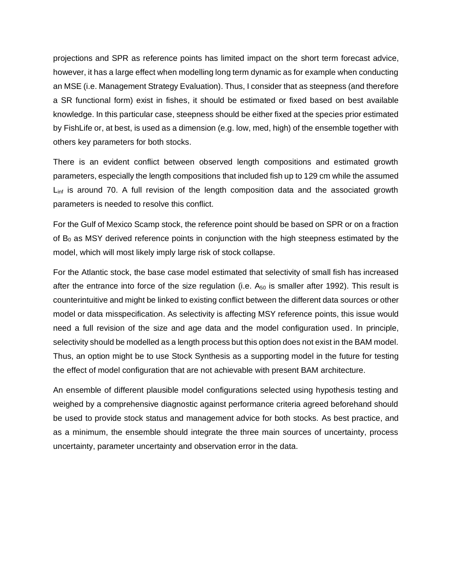projections and SPR as reference points has limited impact on the short term forecast advice, however, it has a large effect when modelling long term dynamic as for example when conducting an MSE (i.e. Management Strategy Evaluation). Thus, I consider that as steepness (and therefore a SR functional form) exist in fishes, it should be estimated or fixed based on best available knowledge. In this particular case, steepness should be either fixed at the species prior estimated by FishLife or, at best, is used as a dimension (e.g. low, med, high) of the ensemble together with others key parameters for both stocks.

There is an evident conflict between observed length compositions and estimated growth parameters, especially the length compositions that included fish up to 129 cm while the assumed L<sub>inf</sub> is around 70. A full revision of the length composition data and the associated growth parameters is needed to resolve this conflict.

For the Gulf of Mexico Scamp stock, the reference point should be based on SPR or on a fraction of  $B<sub>0</sub>$  as MSY derived reference points in conjunction with the high steepness estimated by the model, which will most likely imply large risk of stock collapse.

For the Atlantic stock, the base case model estimated that selectivity of small fish has increased after the entrance into force of the size regulation (i.e.  $A_{50}$  is smaller after 1992). This result is counterintuitive and might be linked to existing conflict between the different data sources or other model or data misspecification. As selectivity is affecting MSY reference points, this issue would need a full revision of the size and age data and the model configuration used. In principle, selectivity should be modelled as a length process but this option does not exist in the BAM model. Thus, an option might be to use Stock Synthesis as a supporting model in the future for testing the effect of model configuration that are not achievable with present BAM architecture.

An ensemble of different plausible model configurations selected using hypothesis testing and weighed by a comprehensive diagnostic against performance criteria agreed beforehand should be used to provide stock status and management advice for both stocks. As best practice, and as a minimum, the ensemble should integrate the three main sources of uncertainty, process uncertainty, parameter uncertainty and observation error in the data.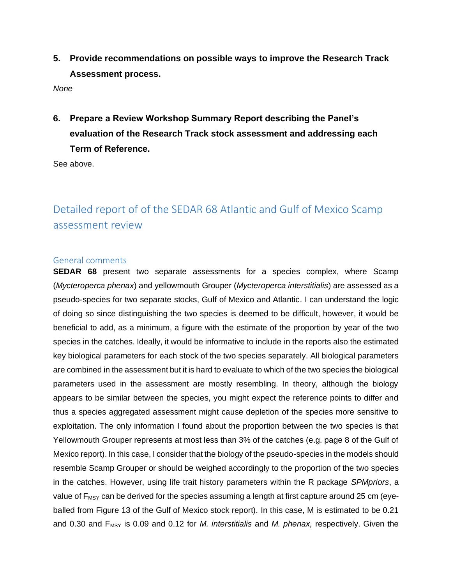**5. Provide recommendations on possible ways to improve the Research Track Assessment process.**

*None*

**6. Prepare a Review Workshop Summary Report describing the Panel's evaluation of the Research Track stock assessment and addressing each Term of Reference.**

See above.

## Detailed report of of the SEDAR 68 Atlantic and Gulf of Mexico Scamp assessment review

#### General comments

**SEDAR 68** present two separate assessments for a species complex, where Scamp (*Mycteroperca phenax*) and yellowmouth Grouper (*Mycteroperca interstitialis*) are assessed as a pseudo-species for two separate stocks, Gulf of Mexico and Atlantic. I can understand the logic of doing so since distinguishing the two species is deemed to be difficult, however, it would be beneficial to add, as a minimum, a figure with the estimate of the proportion by year of the two species in the catches. Ideally, it would be informative to include in the reports also the estimated key biological parameters for each stock of the two species separately. All biological parameters are combined in the assessment but it is hard to evaluate to which of the two species the biological parameters used in the assessment are mostly resembling. In theory, although the biology appears to be similar between the species, you might expect the reference points to differ and thus a species aggregated assessment might cause depletion of the species more sensitive to exploitation. The only information I found about the proportion between the two species is that Yellowmouth Grouper represents at most less than 3% of the catches (e.g. page 8 of the Gulf of Mexico report). In this case, I consider that the biology of the pseudo-species in the models should resemble Scamp Grouper or should be weighed accordingly to the proportion of the two species in the catches. However, using life trait history parameters within the R package *SPMpriors*, a value of  $F_{MSY}$  can be derived for the species assuming a length at first capture around 25 cm (eyeballed from Figure 13 of the Gulf of Mexico stock report). In this case, M is estimated to be 0.21 and 0.30 and F<sub>MSY</sub> is 0.09 and 0.12 for *M. interstitialis* and *M. phenax, respectively. Given the*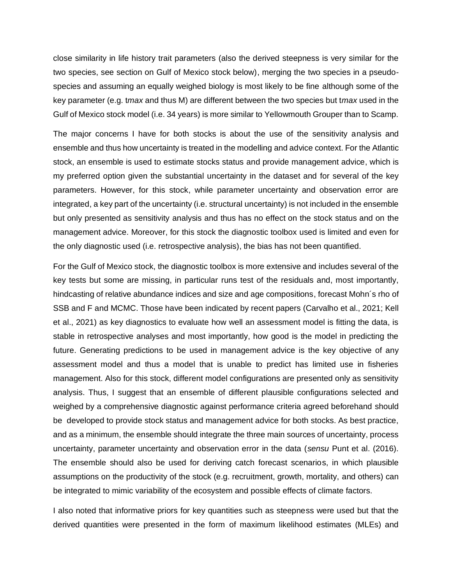close similarity in life history trait parameters (also the derived steepness is very similar for the two species, see section on Gulf of Mexico stock below), merging the two species in a pseudospecies and assuming an equally weighed biology is most likely to be fine although some of the key parameter (e.g. t*max* and thus M) are different between the two species but t*max* used in the Gulf of Mexico stock model (i.e. 34 years) is more similar to Yellowmouth Grouper than to Scamp.

The major concerns I have for both stocks is about the use of the sensitivity analysis and ensemble and thus how uncertainty is treated in the modelling and advice context. For the Atlantic stock, an ensemble is used to estimate stocks status and provide management advice, which is my preferred option given the substantial uncertainty in the dataset and for several of the key parameters. However, for this stock, while parameter uncertainty and observation error are integrated, a key part of the uncertainty (i.e. structural uncertainty) is not included in the ensemble but only presented as sensitivity analysis and thus has no effect on the stock status and on the management advice. Moreover, for this stock the diagnostic toolbox used is limited and even for the only diagnostic used (i.e. retrospective analysis), the bias has not been quantified.

For the Gulf of Mexico stock, the diagnostic toolbox is more extensive and includes several of the key tests but some are missing, in particular runs test of the residuals and, most importantly, hindcasting of relative abundance indices and size and age compositions, forecast Mohn´s rho of SSB and F and MCMC. Those have been indicated by recent papers (Carvalho et al., 2021; Kell et al., 2021) as key diagnostics to evaluate how well an assessment model is fitting the data, is stable in retrospective analyses and most importantly, how good is the model in predicting the future. Generating predictions to be used in management advice is the key objective of any assessment model and thus a model that is unable to predict has limited use in fisheries management. Also for this stock, different model configurations are presented only as sensitivity analysis. Thus, I suggest that an ensemble of different plausible configurations selected and weighed by a comprehensive diagnostic against performance criteria agreed beforehand should be developed to provide stock status and management advice for both stocks. As best practice, and as a minimum, the ensemble should integrate the three main sources of uncertainty, process uncertainty, parameter uncertainty and observation error in the data (*sensu* Punt et al. (2016). The ensemble should also be used for deriving catch forecast scenarios, in which plausible assumptions on the productivity of the stock (e.g. recruitment, growth, mortality, and others) can be integrated to mimic variability of the ecosystem and possible effects of climate factors.

I also noted that informative priors for key quantities such as steepness were used but that the derived quantities were presented in the form of maximum likelihood estimates (MLEs) and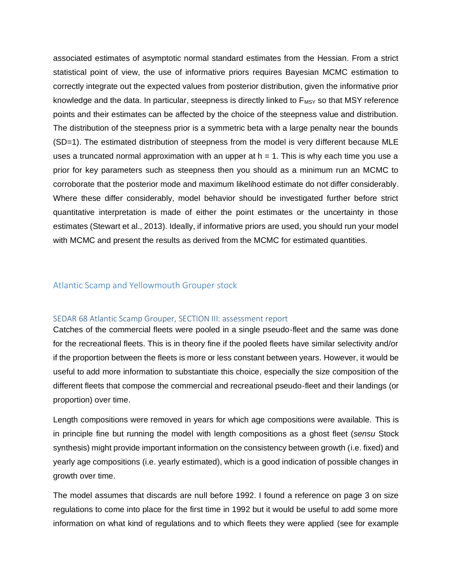associated estimates of asymptotic normal standard estimates from the Hessian. From a strict statistical point of view, the use of informative priors requires Bayesian MCMC estimation to correctly integrate out the expected values from posterior distribution, given the informative prior knowledge and the data. In particular, steepness is directly linked to  $F_{MSY}$  so that MSY reference points and their estimates can be affected by the choice of the steepness value and distribution. The distribution of the steepness prior is a symmetric beta with a large penalty near the bounds (SD=1). The estimated distribution of steepness from the model is very different because MLE uses a truncated normal approximation with an upper at  $h = 1$ . This is why each time you use a prior for key parameters such as steepness then you should as a minimum run an MCMC to corroborate that the posterior mode and maximum likelihood estimate do not differ considerably. Where these differ considerably, model behavior should be investigated further before strict quantitative interpretation is made of either the point estimates or the uncertainty in those estimates (Stewart et al., 2013). Ideally, if informative priors are used, you should run your model with MCMC and present the results as derived from the MCMC for estimated quantities.

#### Atlantic Scamp and Yellowmouth Grouper stock

#### SEDAR 68 Atlantic Scamp Grouper, SECTION III: assessment report

Catches of the commercial fleets were pooled in a single pseudo-fleet and the same was done for the recreational fleets. This is in theory fine if the pooled fleets have similar selectivity and/or if the proportion between the fleets is more or less constant between years. However, it would be useful to add more information to substantiate this choice, especially the size composition of the different fleets that compose the commercial and recreational pseudo-fleet and their landings (or proportion) over time.

Length compositions were removed in years for which age compositions were available. This is in principle fine but running the model with length compositions as a ghost fleet (*sensu* Stock synthesis) might provide important information on the consistency between growth (i.e. fixed) and yearly age compositions (i.e. yearly estimated), which is a good indication of possible changes in growth over time.

The model assumes that discards are null before 1992. I found a reference on page 3 on size regulations to come into place for the first time in 1992 but it would be useful to add some more information on what kind of regulations and to which fleets they were applied (see for example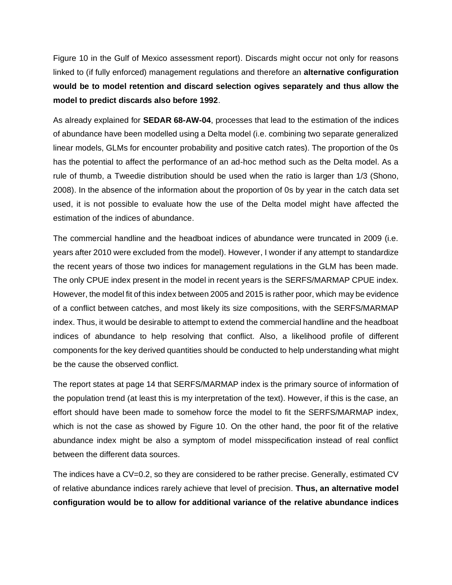Figure 10 in the Gulf of Mexico assessment report). Discards might occur not only for reasons linked to (if fully enforced) management regulations and therefore an **alternative configuration would be to model retention and discard selection ogives separately and thus allow the model to predict discards also before 1992**.

As already explained for **SEDAR 68-AW-04**, processes that lead to the estimation of the indices of abundance have been modelled using a Delta model (i.e. combining two separate generalized linear models, GLMs for encounter probability and positive catch rates). The proportion of the 0s has the potential to affect the performance of an ad-hoc method such as the Delta model. As a rule of thumb, a Tweedie distribution should be used when the ratio is larger than 1/3 (Shono, 2008). In the absence of the information about the proportion of 0s by year in the catch data set used, it is not possible to evaluate how the use of the Delta model might have affected the estimation of the indices of abundance.

The commercial handline and the headboat indices of abundance were truncated in 2009 (i.e. years after 2010 were excluded from the model). However, I wonder if any attempt to standardize the recent years of those two indices for management regulations in the GLM has been made. The only CPUE index present in the model in recent years is the SERFS/MARMAP CPUE index. However, the model fit of this index between 2005 and 2015 is rather poor, which may be evidence of a conflict between catches, and most likely its size compositions, with the SERFS/MARMAP index. Thus, it would be desirable to attempt to extend the commercial handline and the headboat indices of abundance to help resolving that conflict. Also, a likelihood profile of different components for the key derived quantities should be conducted to help understanding what might be the cause the observed conflict.

The report states at page 14 that SERFS/MARMAP index is the primary source of information of the population trend (at least this is my interpretation of the text). However, if this is the case, an effort should have been made to somehow force the model to fit the SERFS/MARMAP index, which is not the case as showed by Figure 10. On the other hand, the poor fit of the relative abundance index might be also a symptom of model misspecification instead of real conflict between the different data sources.

The indices have a CV=0.2, so they are considered to be rather precise. Generally, estimated CV of relative abundance indices rarely achieve that level of precision. **Thus, an alternative model configuration would be to allow for additional variance of the relative abundance indices**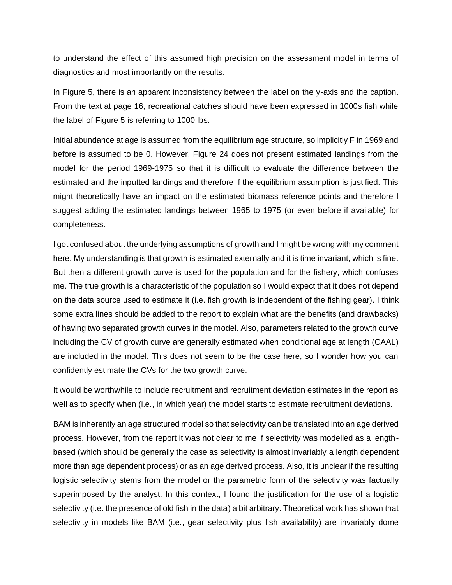to understand the effect of this assumed high precision on the assessment model in terms of diagnostics and most importantly on the results.

In Figure 5, there is an apparent inconsistency between the label on the y-axis and the caption. From the text at page 16, recreational catches should have been expressed in 1000s fish while the label of Figure 5 is referring to 1000 lbs.

Initial abundance at age is assumed from the equilibrium age structure, so implicitly F in 1969 and before is assumed to be 0. However, Figure 24 does not present estimated landings from the model for the period 1969-1975 so that it is difficult to evaluate the difference between the estimated and the inputted landings and therefore if the equilibrium assumption is justified. This might theoretically have an impact on the estimated biomass reference points and therefore I suggest adding the estimated landings between 1965 to 1975 (or even before if available) for completeness.

I got confused about the underlying assumptions of growth and I might be wrong with my comment here. My understanding is that growth is estimated externally and it is time invariant, which is fine. But then a different growth curve is used for the population and for the fishery, which confuses me. The true growth is a characteristic of the population so I would expect that it does not depend on the data source used to estimate it (i.e. fish growth is independent of the fishing gear). I think some extra lines should be added to the report to explain what are the benefits (and drawbacks) of having two separated growth curves in the model. Also, parameters related to the growth curve including the CV of growth curve are generally estimated when conditional age at length (CAAL) are included in the model. This does not seem to be the case here, so I wonder how you can confidently estimate the CVs for the two growth curve.

It would be worthwhile to include recruitment and recruitment deviation estimates in the report as well as to specify when (i.e., in which year) the model starts to estimate recruitment deviations.

BAM is inherently an age structured model so that selectivity can be translated into an age derived process. However, from the report it was not clear to me if selectivity was modelled as a lengthbased (which should be generally the case as selectivity is almost invariably a length dependent more than age dependent process) or as an age derived process. Also, it is unclear if the resulting logistic selectivity stems from the model or the parametric form of the selectivity was factually superimposed by the analyst. In this context, I found the justification for the use of a logistic selectivity (i.e. the presence of old fish in the data) a bit arbitrary. Theoretical work has shown that selectivity in models like BAM (i.e., gear selectivity plus fish availability) are invariably dome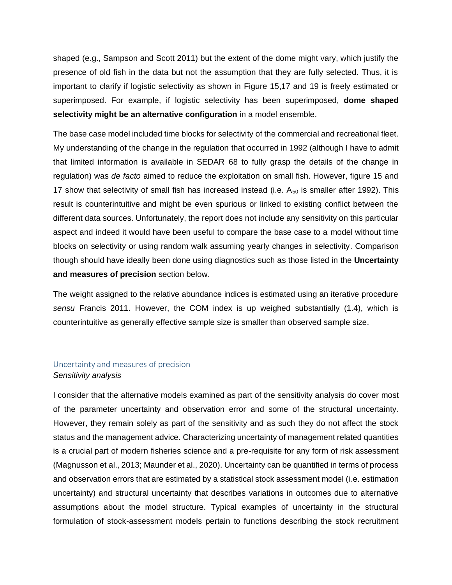shaped (e.g., Sampson and Scott 2011) but the extent of the dome might vary, which justify the presence of old fish in the data but not the assumption that they are fully selected. Thus, it is important to clarify if logistic selectivity as shown in Figure 15,17 and 19 is freely estimated or superimposed. For example, if logistic selectivity has been superimposed, **dome shaped selectivity might be an alternative configuration** in a model ensemble.

The base case model included time blocks for selectivity of the commercial and recreational fleet. My understanding of the change in the regulation that occurred in 1992 (although I have to admit that limited information is available in SEDAR 68 to fully grasp the details of the change in regulation) was *de facto* aimed to reduce the exploitation on small fish. However, figure 15 and 17 show that selectivity of small fish has increased instead (i.e.  $A_{50}$  is smaller after 1992). This result is counterintuitive and might be even spurious or linked to existing conflict between the different data sources. Unfortunately, the report does not include any sensitivity on this particular aspect and indeed it would have been useful to compare the base case to a model without time blocks on selectivity or using random walk assuming yearly changes in selectivity. Comparison though should have ideally been done using diagnostics such as those listed in the **Uncertainty and measures of precision** section below.

The weight assigned to the relative abundance indices is estimated using an iterative procedure *sensu* Francis 2011. However, the COM index is up weighed substantially (1.4), which is counterintuitive as generally effective sample size is smaller than observed sample size.

#### Uncertainty and measures of precision *Sensitivity analysis*

I consider that the alternative models examined as part of the sensitivity analysis do cover most of the parameter uncertainty and observation error and some of the structural uncertainty. However, they remain solely as part of the sensitivity and as such they do not affect the stock status and the management advice. Characterizing uncertainty of management related quantities is a crucial part of modern fisheries science and a pre-requisite for any form of risk assessment (Magnusson et al., 2013; Maunder et al., 2020). Uncertainty can be quantified in terms of process and observation errors that are estimated by a statistical stock assessment model (i.e. estimation uncertainty) and structural uncertainty that describes variations in outcomes due to alternative assumptions about the model structure. Typical examples of uncertainty in the structural formulation of stock-assessment models pertain to functions describing the stock recruitment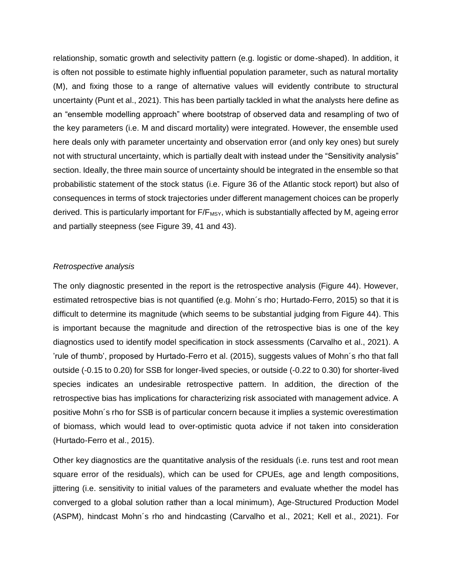relationship, somatic growth and selectivity pattern (e.g. logistic or dome-shaped). In addition, it is often not possible to estimate highly influential population parameter, such as natural mortality (M), and fixing those to a range of alternative values will evidently contribute to structural uncertainty (Punt et al., 2021). This has been partially tackled in what the analysts here define as an "ensemble modelling approach" where bootstrap of observed data and resampling of two of the key parameters (i.e. M and discard mortality) were integrated. However, the ensemble used here deals only with parameter uncertainty and observation error (and only key ones) but surely not with structural uncertainty, which is partially dealt with instead under the "Sensitivity analysis" section. Ideally, the three main source of uncertainty should be integrated in the ensemble so that probabilistic statement of the stock status (i.e. Figure 36 of the Atlantic stock report) but also of consequences in terms of stock trajectories under different management choices can be properly derived. This is particularly important for  $F/F_{MSY}$ , which is substantially affected by M, ageing error and partially steepness (see Figure 39, 41 and 43).

#### *Retrospective analysis*

The only diagnostic presented in the report is the retrospective analysis (Figure 44). However, estimated retrospective bias is not quantified (e.g. Mohn´s rho; Hurtado-Ferro, 2015) so that it is difficult to determine its magnitude (which seems to be substantial judging from Figure 44). This is important because the magnitude and direction of the retrospective bias is one of the key diagnostics used to identify model specification in stock assessments (Carvalho et al., 2021). A 'rule of thumb', proposed by Hurtado-Ferro et al. (2015), suggests values of Mohn´s rho that fall outside (-0.15 to 0.20) for SSB for longer-lived species, or outside (-0.22 to 0.30) for shorter-lived species indicates an undesirable retrospective pattern. In addition, the direction of the retrospective bias has implications for characterizing risk associated with management advice. A positive Mohn´s rho for SSB is of particular concern because it implies a systemic overestimation of biomass, which would lead to over-optimistic quota advice if not taken into consideration (Hurtado-Ferro et al., 2015).

Other key diagnostics are the quantitative analysis of the residuals (i.e. runs test and root mean square error of the residuals), which can be used for CPUEs, age and length compositions, jittering (i.e. sensitivity to initial values of the parameters and evaluate whether the model has converged to a global solution rather than a local minimum), Age-Structured Production Model (ASPM), hindcast Mohn´s rho and hindcasting (Carvalho et al., 2021; Kell et al., 2021). For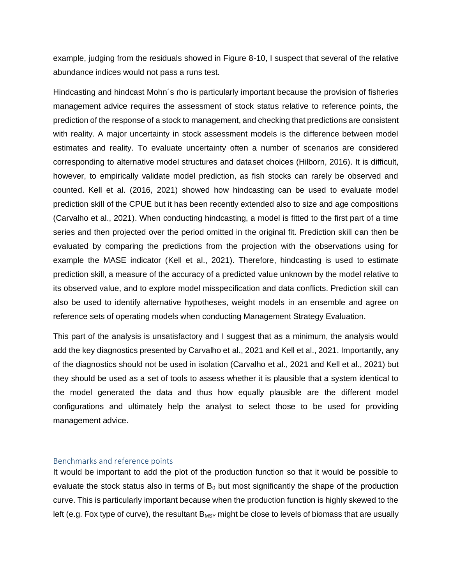example, judging from the residuals showed in Figure 8-10, I suspect that several of the relative abundance indices would not pass a runs test.

Hindcasting and hindcast Mohn´s rho is particularly important because the provision of fisheries management advice requires the assessment of stock status relative to reference points, the prediction of the response of a stock to management, and checking that predictions are consistent with reality. A major uncertainty in stock assessment models is the difference between model estimates and reality. To evaluate uncertainty often a number of scenarios are considered corresponding to alternative model structures and dataset choices (Hilborn, 2016). It is difficult, however, to empirically validate model prediction, as fish stocks can rarely be observed and counted. Kell et al. (2016, 2021) showed how hindcasting can be used to evaluate model prediction skill of the CPUE but it has been recently extended also to size and age compositions (Carvalho et al., 2021). When conducting hindcasting, a model is fitted to the first part of a time series and then projected over the period omitted in the original fit. Prediction skill can then be evaluated by comparing the predictions from the projection with the observations using for example the MASE indicator (Kell et al., 2021). Therefore, hindcasting is used to estimate prediction skill, a measure of the accuracy of a predicted value unknown by the model relative to its observed value, and to explore model misspecification and data conflicts. Prediction skill can also be used to identify alternative hypotheses, weight models in an ensemble and agree on reference sets of operating models when conducting Management Strategy Evaluation.

This part of the analysis is unsatisfactory and I suggest that as a minimum, the analysis would add the key diagnostics presented by Carvalho et al., 2021 and Kell et al., 2021. Importantly, any of the diagnostics should not be used in isolation (Carvalho et al., 2021 and Kell et al., 2021) but they should be used as a set of tools to assess whether it is plausible that a system identical to the model generated the data and thus how equally plausible are the different model configurations and ultimately help the analyst to select those to be used for providing management advice.

#### Benchmarks and reference points

It would be important to add the plot of the production function so that it would be possible to evaluate the stock status also in terms of  $B_0$  but most significantly the shape of the production curve. This is particularly important because when the production function is highly skewed to the left (e.g. Fox type of curve), the resultant  $B_{MSY}$  might be close to levels of biomass that are usually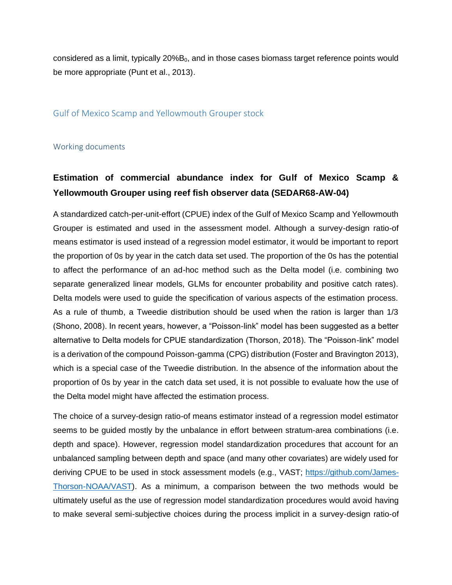considered as a limit, typically  $20\%B_0$ , and in those cases biomass target reference points would be more appropriate (Punt et al., 2013).

#### Gulf of Mexico Scamp and Yellowmouth Grouper stock

#### Working documents

## **Estimation of commercial abundance index for Gulf of Mexico Scamp & Yellowmouth Grouper using reef fish observer data (SEDAR68-AW-04)**

A standardized catch-per-unit-effort (CPUE) index of the Gulf of Mexico Scamp and Yellowmouth Grouper is estimated and used in the assessment model. Although a survey-design ratio-of means estimator is used instead of a regression model estimator, it would be important to report the proportion of 0s by year in the catch data set used. The proportion of the 0s has the potential to affect the performance of an ad-hoc method such as the Delta model (i.e. combining two separate generalized linear models, GLMs for encounter probability and positive catch rates). Delta models were used to guide the specification of various aspects of the estimation process. As a rule of thumb, a Tweedie distribution should be used when the ration is larger than 1/3 (Shono, 2008). In recent years, however, a "Poisson-link" model has been suggested as a better alternative to Delta models for CPUE standardization (Thorson, 2018). The "Poisson-link" model is a derivation of the compound Poisson-gamma (CPG) distribution (Foster and Bravington 2013), which is a special case of the Tweedie distribution. In the absence of the information about the proportion of 0s by year in the catch data set used, it is not possible to evaluate how the use of the Delta model might have affected the estimation process.

The choice of a survey-design ratio-of means estimator instead of a regression model estimator seems to be guided mostly by the unbalance in effort between stratum-area combinations (i.e. depth and space). However, regression model standardization procedures that account for an unbalanced sampling between depth and space (and many other covariates) are widely used for deriving CPUE to be used in stock assessment models (e.g., VAST; [https://github.com/James-](https://github.com/James-Thorson-NOAA/VAST)[Thorson-NOAA/VAST\)](https://github.com/James-Thorson-NOAA/VAST). As a minimum, a comparison between the two methods would be ultimately useful as the use of regression model standardization procedures would avoid having to make several semi-subjective choices during the process implicit in a survey-design ratio-of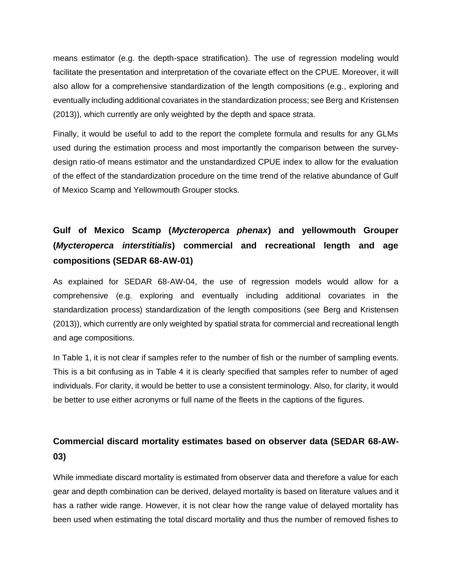means estimator (e.g. the depth-space stratification). The use of regression modeling would facilitate the presentation and interpretation of the covariate effect on the CPUE. Moreover, it will also allow for a comprehensive standardization of the length compositions (e.g., exploring and eventually including additional covariates in the standardization process; see Berg and Kristensen (2013)), which currently are only weighted by the depth and space strata.

Finally, it would be useful to add to the report the complete formula and results for any GLMs used during the estimation process and most importantly the comparison between the surveydesign ratio-of means estimator and the unstandardized CPUE index to allow for the evaluation of the effect of the standardization procedure on the time trend of the relative abundance of Gulf of Mexico Scamp and Yellowmouth Grouper stocks.

## **Gulf of Mexico Scamp (***Mycteroperca phenax***) and yellowmouth Grouper (***Mycteroperca interstitialis***) commercial and recreational length and age compositions (SEDAR 68-AW-01)**

As explained for SEDAR 68-AW-04, the use of regression models would allow for a comprehensive (e.g. exploring and eventually including additional covariates in the standardization process) standardization of the length compositions (see Berg and Kristensen (2013)), which currently are only weighted by spatial strata for commercial and recreational length and age compositions.

In Table 1, it is not clear if samples refer to the number of fish or the number of sampling events. This is a bit confusing as in Table 4 it is clearly specified that samples refer to number of aged individuals. For clarity, it would be better to use a consistent terminology. Also, for clarity, it would be better to use either acronyms or full name of the fleets in the captions of the figures.

## **Commercial discard mortality estimates based on observer data (SEDAR 68-AW-03)**

While immediate discard mortality is estimated from observer data and therefore a value for each gear and depth combination can be derived, delayed mortality is based on literature values and it has a rather wide range. However, it is not clear how the range value of delayed mortality has been used when estimating the total discard mortality and thus the number of removed fishes to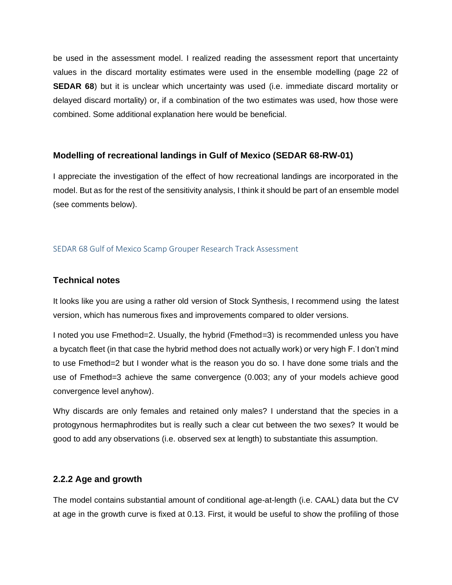be used in the assessment model. I realized reading the assessment report that uncertainty values in the discard mortality estimates were used in the ensemble modelling (page 22 of **SEDAR 68**) but it is unclear which uncertainty was used (i.e. immediate discard mortality or delayed discard mortality) or, if a combination of the two estimates was used, how those were combined. Some additional explanation here would be beneficial.

### **Modelling of recreational landings in Gulf of Mexico (SEDAR 68-RW-01)**

I appreciate the investigation of the effect of how recreational landings are incorporated in the model. But as for the rest of the sensitivity analysis, I think it should be part of an ensemble model (see comments below).

#### SEDAR 68 Gulf of Mexico Scamp Grouper Research Track Assessment

### **Technical notes**

It looks like you are using a rather old version of Stock Synthesis, I recommend using the latest version, which has numerous fixes and improvements compared to older versions.

I noted you use Fmethod=2. Usually, the hybrid (Fmethod=3) is recommended unless you have a bycatch fleet (in that case the hybrid method does not actually work) or very high F. I don't mind to use Fmethod=2 but I wonder what is the reason you do so. I have done some trials and the use of Fmethod=3 achieve the same convergence (0.003; any of your models achieve good convergence level anyhow).

Why discards are only females and retained only males? I understand that the species in a protogynous hermaphrodites but is really such a clear cut between the two sexes? It would be good to add any observations (i.e. observed sex at length) to substantiate this assumption.

## **2.2.2 Age and growth**

The model contains substantial amount of conditional age-at-length (i.e. CAAL) data but the CV at age in the growth curve is fixed at 0.13. First, it would be useful to show the profiling of those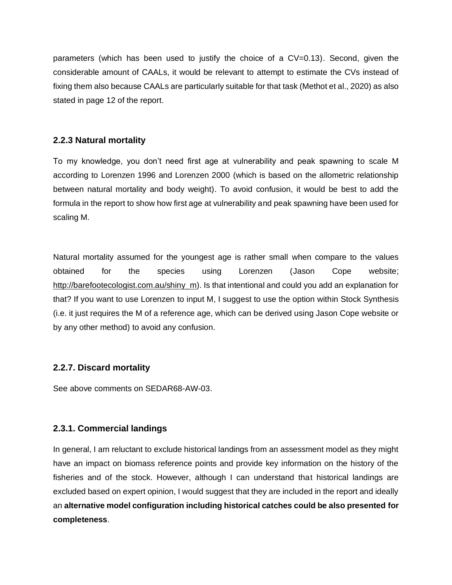parameters (which has been used to justify the choice of a CV=0.13). Second, given the considerable amount of CAALs, it would be relevant to attempt to estimate the CVs instead of fixing them also because CAALs are particularly suitable for that task (Methot et al., 2020) as also stated in page 12 of the report.

## **2.2.3 Natural mortality**

To my knowledge, you don't need first age at vulnerability and peak spawning to scale M according to Lorenzen 1996 and Lorenzen 2000 (which is based on the allometric relationship between natural mortality and body weight). To avoid confusion, it would be best to add the formula in the report to show how first age at vulnerability and peak spawning have been used for scaling M.

Natural mortality assumed for the youngest age is rather small when compare to the values obtained for the species using Lorenzen (Jason Cope website; http://barefootecologist.com.au/shiny m). Is that intentional and could you add an explanation for that? If you want to use Lorenzen to input M, I suggest to use the option within Stock Synthesis (i.e. it just requires the M of a reference age, which can be derived using Jason Cope website or by any other method) to avoid any confusion.

## **2.2.7. Discard mortality**

See above comments on SEDAR68-AW-03.

## **2.3.1. Commercial landings**

In general, I am reluctant to exclude historical landings from an assessment model as they might have an impact on biomass reference points and provide key information on the history of the fisheries and of the stock. However, although I can understand that historical landings are excluded based on expert opinion, I would suggest that they are included in the report and ideally an **alternative model configuration including historical catches could be also presented for completeness**.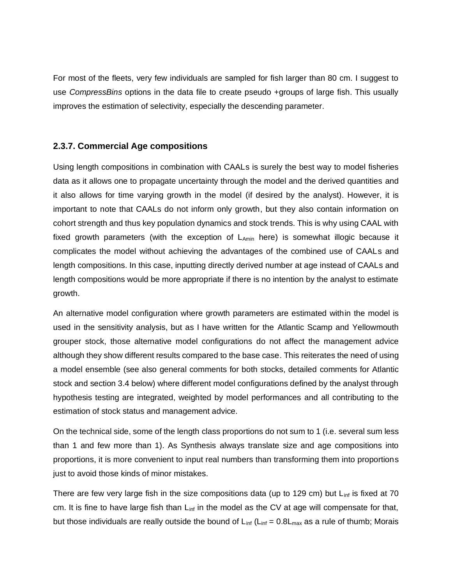For most of the fleets, very few individuals are sampled for fish larger than 80 cm. I suggest to use *CompressBins* options in the data file to create pseudo +groups of large fish. This usually improves the estimation of selectivity, especially the descending parameter.

### **2.3.7. Commercial Age compositions**

Using length compositions in combination with CAALs is surely the best way to model fisheries data as it allows one to propagate uncertainty through the model and the derived quantities and it also allows for time varying growth in the model (if desired by the analyst). However, it is important to note that CAALs do not inform only growth, but they also contain information on cohort strength and thus key population dynamics and stock trends. This is why using CAAL with fixed growth parameters (with the exception of  $L_{Amin}$  here) is somewhat illogic because it complicates the model without achieving the advantages of the combined use of CAALs and length compositions. In this case, inputting directly derived number at age instead of CAALs and length compositions would be more appropriate if there is no intention by the analyst to estimate growth.

An alternative model configuration where growth parameters are estimated within the model is used in the sensitivity analysis, but as I have written for the Atlantic Scamp and Yellowmouth grouper stock, those alternative model configurations do not affect the management advice although they show different results compared to the base case. This reiterates the need of using a model ensemble (see also general comments for both stocks, detailed comments for Atlantic stock and section 3.4 below) where different model configurations defined by the analyst through hypothesis testing are integrated, weighted by model performances and all contributing to the estimation of stock status and management advice.

On the technical side, some of the length class proportions do not sum to 1 (i.e. several sum less than 1 and few more than 1). As Synthesis always translate size and age compositions into proportions, it is more convenient to input real numbers than transforming them into proportions just to avoid those kinds of minor mistakes.

There are few very large fish in the size compositions data (up to 129 cm) but  $L_{\text{inf}}$  is fixed at 70 cm. It is fine to have large fish than  $L_{inf}$  in the model as the CV at age will compensate for that, but those individuals are really outside the bound of  $L_{inf}$  ( $L_{inf}$  = 0.8 $L_{max}$  as a rule of thumb; Morais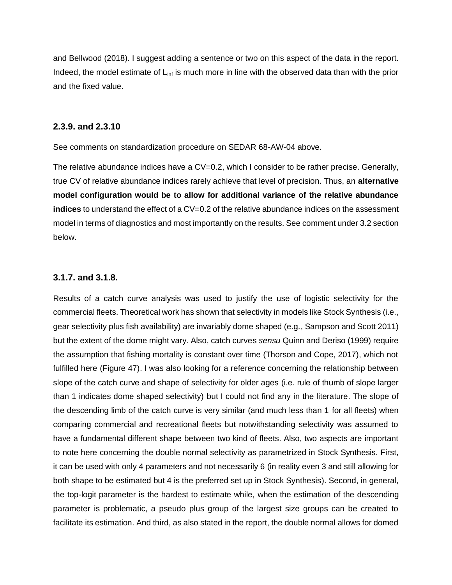and Bellwood (2018). I suggest adding a sentence or two on this aspect of the data in the report. Indeed, the model estimate of  $L_{inf}$  is much more in line with the observed data than with the prior and the fixed value.

#### **2.3.9. and 2.3.10**

See comments on standardization procedure on SEDAR 68-AW-04 above.

The relative abundance indices have a  $CV=0.2$ , which I consider to be rather precise. Generally, true CV of relative abundance indices rarely achieve that level of precision. Thus, an **alternative model configuration would be to allow for additional variance of the relative abundance indices** to understand the effect of a CV=0.2 of the relative abundance indices on the assessment model in terms of diagnostics and most importantly on the results. See comment under 3.2 section below.

#### **3.1.7. and 3.1.8.**

Results of a catch curve analysis was used to justify the use of logistic selectivity for the commercial fleets. Theoretical work has shown that selectivity in models like Stock Synthesis (i.e., gear selectivity plus fish availability) are invariably dome shaped (e.g., Sampson and Scott 2011) but the extent of the dome might vary. Also, catch curves *sensu* Quinn and Deriso (1999) require the assumption that fishing mortality is constant over time (Thorson and Cope, 2017), which not fulfilled here (Figure 47). I was also looking for a reference concerning the relationship between slope of the catch curve and shape of selectivity for older ages (i.e. rule of thumb of slope larger than 1 indicates dome shaped selectivity) but I could not find any in the literature. The slope of the descending limb of the catch curve is very similar (and much less than 1 for all fleets) when comparing commercial and recreational fleets but notwithstanding selectivity was assumed to have a fundamental different shape between two kind of fleets. Also, two aspects are important to note here concerning the double normal selectivity as parametrized in Stock Synthesis. First, it can be used with only 4 parameters and not necessarily 6 (in reality even 3 and still allowing for both shape to be estimated but 4 is the preferred set up in Stock Synthesis). Second, in general, the top-logit parameter is the hardest to estimate while, when the estimation of the descending parameter is problematic, a pseudo plus group of the largest size groups can be created to facilitate its estimation. And third, as also stated in the report, the double normal allows for domed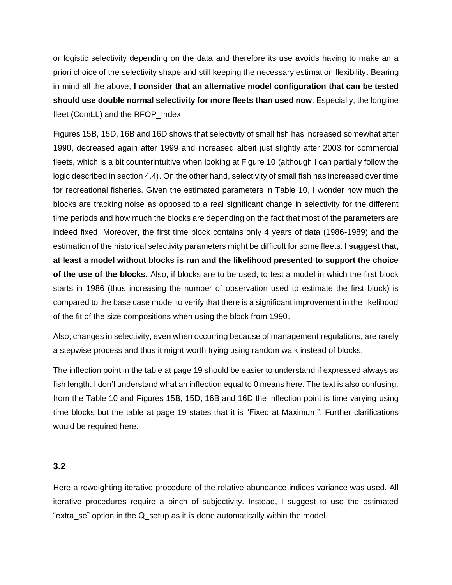or logistic selectivity depending on the data and therefore its use avoids having to make an a priori choice of the selectivity shape and still keeping the necessary estimation flexibility. Bearing in mind all the above, **I consider that an alternative model configuration that can be tested should use double normal selectivity for more fleets than used now**. Especially, the longline fleet (ComLL) and the RFOP Index.

Figures 15B, 15D, 16B and 16D shows that selectivity of small fish has increased somewhat after 1990, decreased again after 1999 and increased albeit just slightly after 2003 for commercial fleets, which is a bit counterintuitive when looking at Figure 10 (although I can partially follow the logic described in section 4.4). On the other hand, selectivity of small fish has increased over time for recreational fisheries. Given the estimated parameters in Table 10, I wonder how much the blocks are tracking noise as opposed to a real significant change in selectivity for the different time periods and how much the blocks are depending on the fact that most of the parameters are indeed fixed. Moreover, the first time block contains only 4 years of data (1986-1989) and the estimation of the historical selectivity parameters might be difficult for some fleets. **I suggest that, at least a model without blocks is run and the likelihood presented to support the choice of the use of the blocks.** Also, if blocks are to be used, to test a model in which the first block starts in 1986 (thus increasing the number of observation used to estimate the first block) is compared to the base case model to verify that there is a significant improvement in the likelihood of the fit of the size compositions when using the block from 1990.

Also, changes in selectivity, even when occurring because of management regulations, are rarely a stepwise process and thus it might worth trying using random walk instead of blocks.

The inflection point in the table at page 19 should be easier to understand if expressed always as fish length. I don't understand what an inflection equal to 0 means here. The text is also confusing, from the Table 10 and Figures 15B, 15D, 16B and 16D the inflection point is time varying using time blocks but the table at page 19 states that it is "Fixed at Maximum". Further clarifications would be required here.

#### **3.2**

Here a reweighting iterative procedure of the relative abundance indices variance was used. All iterative procedures require a pinch of subjectivity. Instead, I suggest to use the estimated "extra\_se" option in the Q\_setup as it is done automatically within the model.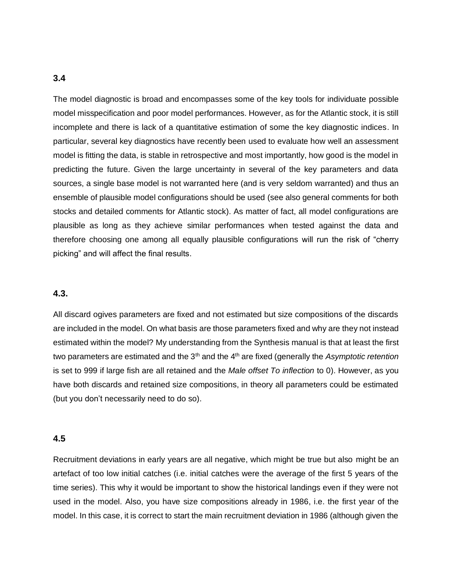#### **3.4**

The model diagnostic is broad and encompasses some of the key tools for individuate possible model misspecification and poor model performances. However, as for the Atlantic stock, it is still incomplete and there is lack of a quantitative estimation of some the key diagnostic indices. In particular, several key diagnostics have recently been used to evaluate how well an assessment model is fitting the data, is stable in retrospective and most importantly, how good is the model in predicting the future. Given the large uncertainty in several of the key parameters and data sources, a single base model is not warranted here (and is very seldom warranted) and thus an ensemble of plausible model configurations should be used (see also general comments for both stocks and detailed comments for Atlantic stock). As matter of fact, all model configurations are plausible as long as they achieve similar performances when tested against the data and therefore choosing one among all equally plausible configurations will run the risk of "cherry picking" and will affect the final results.

#### **4.3.**

All discard ogives parameters are fixed and not estimated but size compositions of the discards are included in the model. On what basis are those parameters fixed and why are they not instead estimated within the model? My understanding from the Synthesis manual is that at least the first two parameters are estimated and the 3<sup>th</sup> and the 4<sup>th</sup> are fixed (generally the *Asymptotic retention* is set to 999 if large fish are all retained and the *Male offset To inflection* to 0). However, as you have both discards and retained size compositions, in theory all parameters could be estimated (but you don't necessarily need to do so).

#### **4.5**

Recruitment deviations in early years are all negative, which might be true but also might be an artefact of too low initial catches (i.e. initial catches were the average of the first 5 years of the time series). This why it would be important to show the historical landings even if they were not used in the model. Also, you have size compositions already in 1986, i.e. the first year of the model. In this case, it is correct to start the main recruitment deviation in 1986 (although given the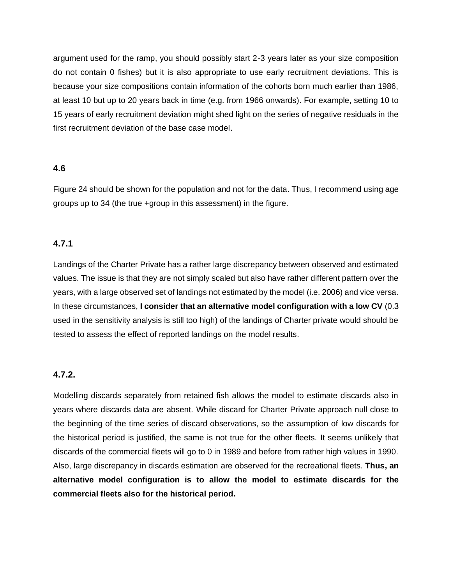argument used for the ramp, you should possibly start 2-3 years later as your size composition do not contain 0 fishes) but it is also appropriate to use early recruitment deviations. This is because your size compositions contain information of the cohorts born much earlier than 1986, at least 10 but up to 20 years back in time (e.g. from 1966 onwards). For example, setting 10 to 15 years of early recruitment deviation might shed light on the series of negative residuals in the first recruitment deviation of the base case model.

### **4.6**

Figure 24 should be shown for the population and not for the data. Thus, I recommend using age groups up to 34 (the true +group in this assessment) in the figure.

## **4.7.1**

Landings of the Charter Private has a rather large discrepancy between observed and estimated values. The issue is that they are not simply scaled but also have rather different pattern over the years, with a large observed set of landings not estimated by the model (i.e. 2006) and vice versa. In these circumstances, **I consider that an alternative model configuration with a low CV** (0.3 used in the sensitivity analysis is still too high) of the landings of Charter private would should be tested to assess the effect of reported landings on the model results.

#### **4.7.2.**

Modelling discards separately from retained fish allows the model to estimate discards also in years where discards data are absent. While discard for Charter Private approach null close to the beginning of the time series of discard observations, so the assumption of low discards for the historical period is justified, the same is not true for the other fleets. It seems unlikely that discards of the commercial fleets will go to 0 in 1989 and before from rather high values in 1990. Also, large discrepancy in discards estimation are observed for the recreational fleets. **Thus, an alternative model configuration is to allow the model to estimate discards for the commercial fleets also for the historical period.**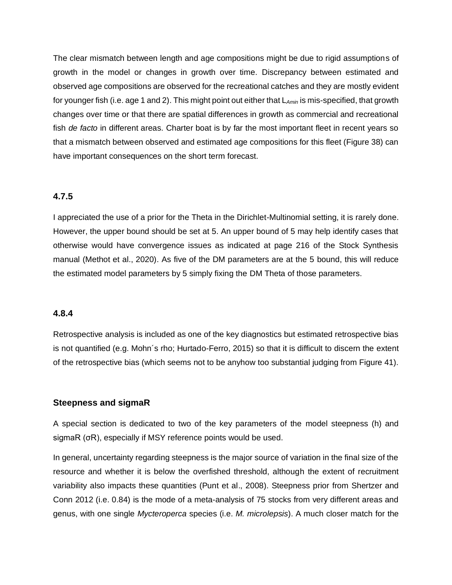The clear mismatch between length and age compositions might be due to rigid assumptions of growth in the model or changes in growth over time. Discrepancy between estimated and observed age compositions are observed for the recreational catches and they are mostly evident for younger fish (i.e. age 1 and 2). This might point out either that L*Amin* is mis-specified, that growth changes over time or that there are spatial differences in growth as commercial and recreational fish *de facto* in different areas. Charter boat is by far the most important fleet in recent years so that a mismatch between observed and estimated age compositions for this fleet (Figure 38) can have important consequences on the short term forecast.

### **4.7.5**

I appreciated the use of a prior for the Theta in the Dirichlet-Multinomial setting, it is rarely done. However, the upper bound should be set at 5. An upper bound of 5 may help identify cases that otherwise would have convergence issues as indicated at page 216 of the Stock Synthesis manual (Methot et al., 2020). As five of the DM parameters are at the 5 bound, this will reduce the estimated model parameters by 5 simply fixing the DM Theta of those parameters.

#### **4.8.4**

Retrospective analysis is included as one of the key diagnostics but estimated retrospective bias is not quantified (e.g. Mohn´s rho; Hurtado-Ferro, 2015) so that it is difficult to discern the extent of the retrospective bias (which seems not to be anyhow too substantial judging from Figure 41).

#### **Steepness and sigmaR**

A special section is dedicated to two of the key parameters of the model steepness (h) and sigmaR (σR), especially if MSY reference points would be used.

In general, uncertainty regarding steepness is the major source of variation in the final size of the resource and whether it is below the overfished threshold, although the extent of recruitment variability also impacts these quantities (Punt et al., 2008). Steepness prior from Shertzer and Conn 2012 (i.e. 0.84) is the mode of a meta-analysis of 75 stocks from very different areas and genus, with one single *Mycteroperca* species (i.e. *M. microlepsis*). A much closer match for the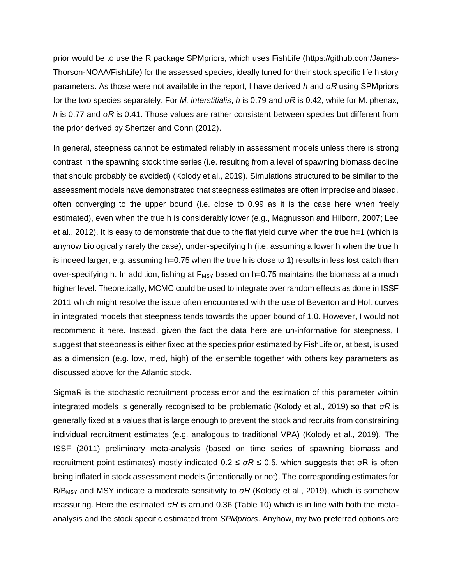prior would be to use the R package SPMpriors, which uses FishLife (https://github.com/James-Thorson-NOAA/FishLife) for the assessed species, ideally tuned for their stock specific life history parameters. As those were not available in the report, I have derived *h* and *σR* using SPMpriors for the two species separately. For *M. interstitialis*, *h* is 0.79 and *σR* is 0.42, while for M. phenax, *h* is 0.77 and *σR* is 0.41. Those values are rather consistent between species but different from the prior derived by Shertzer and Conn (2012).

In general, steepness cannot be estimated reliably in assessment models unless there is strong contrast in the spawning stock time series (i.e. resulting from a level of spawning biomass decline that should probably be avoided) (Kolody et al., 2019). Simulations structured to be similar to the assessment models have demonstrated that steepness estimates are often imprecise and biased, often converging to the upper bound (i.e. close to 0.99 as it is the case here when freely estimated), even when the true h is considerably lower (e.g., Magnusson and Hilborn, 2007; Lee et al., 2012). It is easy to demonstrate that due to the flat yield curve when the true h=1 (which is anyhow biologically rarely the case), under-specifying h (i.e. assuming a lower h when the true h is indeed larger, e.g. assuming h=0.75 when the true h is close to 1) results in less lost catch than over-specifying h. In addition, fishing at  $F_{MSY}$  based on h=0.75 maintains the biomass at a much higher level. Theoretically, MCMC could be used to integrate over random effects as done in ISSF 2011 which might resolve the issue often encountered with the use of Beverton and Holt curves in integrated models that steepness tends towards the upper bound of 1.0. However, I would not recommend it here. Instead, given the fact the data here are un-informative for steepness, I suggest that steepness is either fixed at the species prior estimated by FishLife or, at best, is used as a dimension (e.g. low, med, high) of the ensemble together with others key parameters as discussed above for the Atlantic stock.

SigmaR is the stochastic recruitment process error and the estimation of this parameter within integrated models is generally recognised to be problematic (Kolody et al., 2019) so that *σR* is generally fixed at a values that is large enough to prevent the stock and recruits from constraining individual recruitment estimates (e.g. analogous to traditional VPA) (Kolody et al., 2019). The ISSF (2011) preliminary meta-analysis (based on time series of spawning biomass and recruitment point estimates) mostly indicated  $0.2 \leq \sigma R \leq 0.5$ , which suggests that  $\sigma R$  is often being inflated in stock assessment models (intentionally or not). The corresponding estimates for B/B<sub>MSY</sub> and MSY indicate a moderate sensitivity to *σR* (Kolody et al., 2019), which is somehow reassuring. Here the estimated *σR* is around 0.36 (Table 10) which is in line with both the metaanalysis and the stock specific estimated from *SPMpriors*. Anyhow, my two preferred options are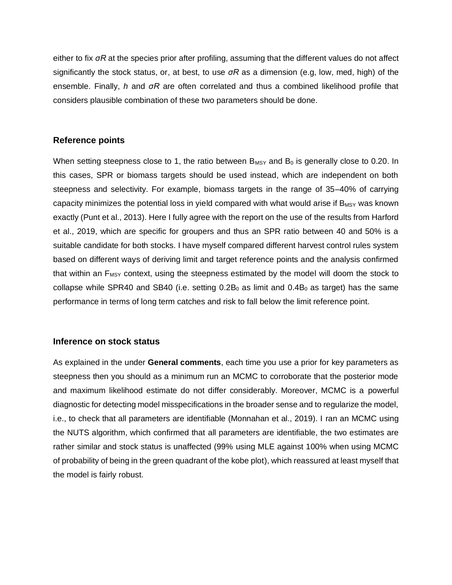either to fix *σR* at the species prior after profiling, assuming that the different values do not affect significantly the stock status, or, at best, to use *σR* as a dimension (e.g, low, med, high) of the ensemble. Finally, *h* and *σR* are often correlated and thus a combined likelihood profile that considers plausible combination of these two parameters should be done.

### **Reference points**

When setting steepness close to 1, the ratio between  $B_{MSY}$  and  $B_0$  is generally close to 0.20. In this cases, SPR or biomass targets should be used instead, which are independent on both steepness and selectivity. For example, biomass targets in the range of 35–40% of carrying capacity minimizes the potential loss in yield compared with what would arise if  $B_{MSY}$  was known exactly (Punt et al., 2013). Here I fully agree with the report on the use of the results from Harford et al., 2019, which are specific for groupers and thus an SPR ratio between 40 and 50% is a suitable candidate for both stocks. I have myself compared different harvest control rules system based on different ways of deriving limit and target reference points and the analysis confirmed that within an  $F_{MSY}$  context, using the steepness estimated by the model will doom the stock to collapse while SPR40 and SB40 (i.e. setting  $0.2B_0$  as limit and  $0.4B_0$  as target) has the same performance in terms of long term catches and risk to fall below the limit reference point.

#### **Inference on stock status**

As explained in the under **General comments**, each time you use a prior for key parameters as steepness then you should as a minimum run an MCMC to corroborate that the posterior mode and maximum likelihood estimate do not differ considerably. Moreover, MCMC is a powerful diagnostic for detecting model misspecifications in the broader sense and to regularize the model, i.e., to check that all parameters are identifiable (Monnahan et al., 2019). I ran an MCMC using the NUTS algorithm, which confirmed that all parameters are identifiable, the two estimates are rather similar and stock status is unaffected (99% using MLE against 100% when using MCMC of probability of being in the green quadrant of the kobe plot), which reassured at least myself that the model is fairly robust.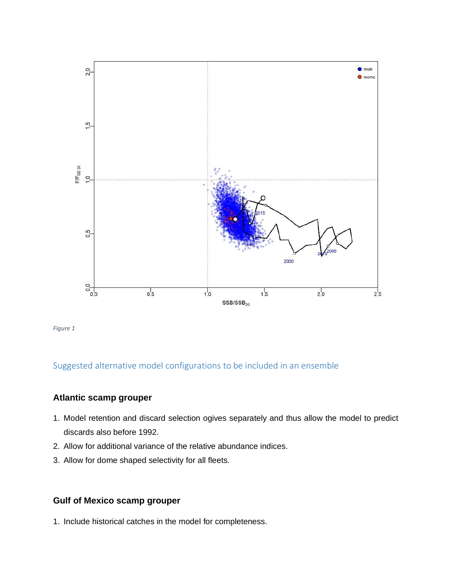

*Figure 1*

## Suggested alternative model configurations to be included in an ensemble

## **Atlantic scamp grouper**

- 1. Model retention and discard selection ogives separately and thus allow the model to predict discards also before 1992.
- 2. Allow for additional variance of the relative abundance indices.
- 3. Allow for dome shaped selectivity for all fleets.

## **Gulf of Mexico scamp grouper**

1. Include historical catches in the model for completeness.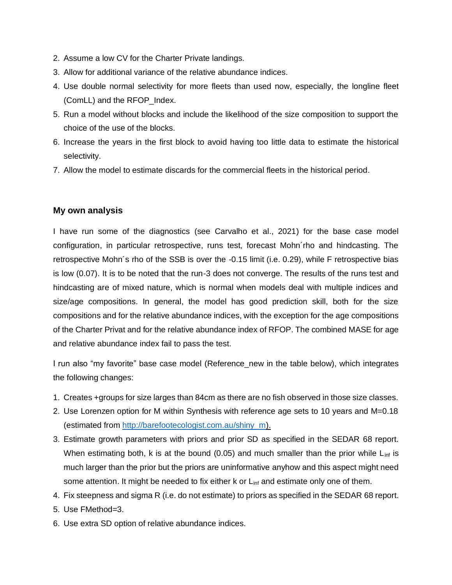- 2. Assume a low CV for the Charter Private landings.
- 3. Allow for additional variance of the relative abundance indices.
- 4. Use double normal selectivity for more fleets than used now, especially, the longline fleet (ComLL) and the RFOP\_Index.
- 5. Run a model without blocks and include the likelihood of the size composition to support the choice of the use of the blocks.
- 6. Increase the years in the first block to avoid having too little data to estimate the historical selectivity.
- 7. Allow the model to estimate discards for the commercial fleets in the historical period.

### **My own analysis**

I have run some of the diagnostics (see Carvalho et al., 2021) for the base case model configuration, in particular retrospective, runs test, forecast Mohn´rho and hindcasting. The retrospective Mohn´s rho of the SSB is over the -0.15 limit (i.e. 0.29), while F retrospective bias is low (0.07). It is to be noted that the run-3 does not converge. The results of the runs test and hindcasting are of mixed nature, which is normal when models deal with multiple indices and size/age compositions. In general, the model has good prediction skill, both for the size compositions and for the relative abundance indices, with the exception for the age compositions of the Charter Privat and for the relative abundance index of RFOP. The combined MASE for age and relative abundance index fail to pass the test.

I run also "my favorite" base case model (Reference\_new in the table below), which integrates the following changes:

- 1. Creates +groups for size larges than 84cm as there are no fish observed in those size classes.
- 2. Use Lorenzen option for M within Synthesis with reference age sets to 10 years and M=0.18 (estimated from [http://barefootecologist.com.au/shiny\\_m\)](http://barefootecologist.com.au/shiny_m).
- 3. Estimate growth parameters with priors and prior SD as specified in the SEDAR 68 report. When estimating both, k is at the bound (0.05) and much smaller than the prior while  $L_{\text{inf}}$  is much larger than the prior but the priors are uninformative anyhow and this aspect might need some attention. It might be needed to fix either k or L<sub>inf</sub> and estimate only one of them.
- 4. Fix steepness and sigma R (i.e. do not estimate) to priors as specified in the SEDAR 68 report.
- 5. Use FMethod=3.
- 6. Use extra SD option of relative abundance indices.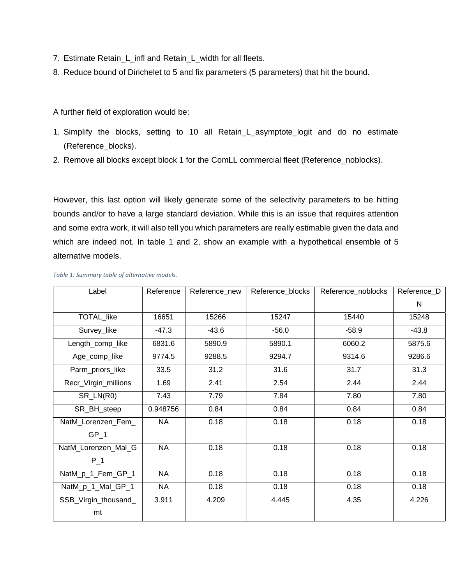- 7. Estimate Retain\_L\_infl and Retain\_L\_width for all fleets.
- 8. Reduce bound of Dirichelet to 5 and fix parameters (5 parameters) that hit the bound.

A further field of exploration would be:

- 1. Simplify the blocks, setting to 10 all Retain\_L\_asymptote\_logit and do no estimate (Reference\_blocks).
- 2. Remove all blocks except block 1 for the ComLL commercial fleet (Reference\_noblocks).

However, this last option will likely generate some of the selectivity parameters to be hitting bounds and/or to have a large standard deviation. While this is an issue that requires attention and some extra work, it will also tell you which parameters are really estimable given the data and which are indeed not. In table 1 and 2, show an example with a hypothetical ensemble of 5 alternative models.

| Label                | Reference | Reference_new | Reference_blocks | Reference_noblocks | Reference_D |
|----------------------|-----------|---------------|------------------|--------------------|-------------|
|                      |           |               |                  |                    | N           |
| TOTAL_like           | 16651     | 15266         | 15247            | 15440              | 15248       |
| Survey_like          | $-47.3$   | $-43.6$       | $-56.0$          | $-58.9$            | $-43.8$     |
| Length_comp_like     | 6831.6    | 5890.9        | 5890.1           | 6060.2             | 5875.6      |
| Age_comp_like        | 9774.5    | 9288.5        | 9294.7           | 9314.6             | 9286.6      |
| Parm_priors_like     | 33.5      | 31.2          | 31.6             | 31.7               | 31.3        |
| Recr_Virgin_millions | 1.69      | 2.41          | 2.54             | 2.44               | 2.44        |
| SR_LN(R0)            | 7.43      | 7.79          | 7.84             | 7.80               | 7.80        |
| SR_BH_steep          | 0.948756  | 0.84          | 0.84             | 0.84               | 0.84        |
| NatM_Lorenzen_Fem_   | <b>NA</b> | 0.18          | 0.18             | 0.18               | 0.18        |
| GP 1                 |           |               |                  |                    |             |
| NatM_Lorenzen_Mal_G  | <b>NA</b> | 0.18          | 0.18             | 0.18               | 0.18        |
| $P_1$                |           |               |                  |                    |             |
| NatM_p_1_Fem_GP_1    | <b>NA</b> | 0.18          | 0.18             | 0.18               | 0.18        |
| NatM_p_1_Mal_GP_1    | <b>NA</b> | 0.18          | 0.18             | 0.18               | 0.18        |
| SSB_Virgin_thousand_ | 3.911     | 4.209         | 4.445            | 4.35               | 4.226       |
| mt                   |           |               |                  |                    |             |

#### *Table 1: Summary table of alternative models.*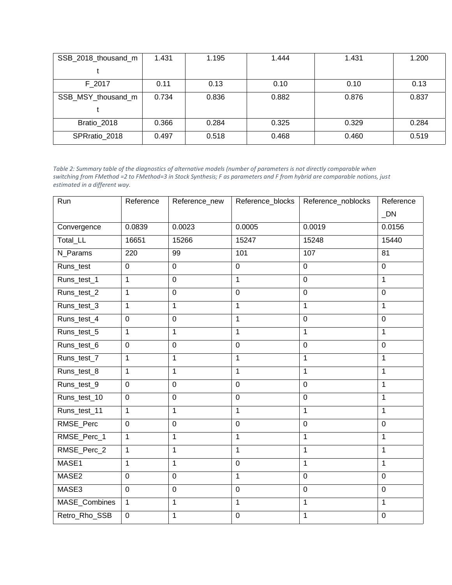| SSB_2018_thousand_m | 1.431 | 1.195 | 1.444 | 1.431 | 1.200 |
|---------------------|-------|-------|-------|-------|-------|
|                     |       |       |       |       |       |
| F_2017              | 0.11  | 0.13  | 0.10  | 0.10  | 0.13  |
| SSB_MSY_thousand_m  | 0.734 | 0.836 | 0.882 | 0.876 | 0.837 |
|                     |       |       |       |       |       |
| Bratio 2018         | 0.366 | 0.284 | 0.325 | 0.329 | 0.284 |
| SPRratio 2018       | 0.497 | 0.518 | 0.468 | 0.460 | 0.519 |

*Table 2: Summary table of the diagnostics of alternative models (number of parameters is not directly comparable when switching from FMethod =2 to FMethod=3 in Stock Synthesis; F as parameters and F from hybrid are comparable notions, just estimated in a different way.*

| Run           | Reference      | Reference_new | Reference_blocks | Reference_noblocks | Reference<br>$\_DN$ |
|---------------|----------------|---------------|------------------|--------------------|---------------------|
|               |                |               |                  |                    |                     |
| Convergence   | 0.0839         | 0.0023        | 0.0005           | 0.0019             | 0.0156              |
| Total_LL      | 16651          | 15266         | 15247            | 15248              | 15440               |
| N_Params      | 220            | 99            | 101              | 107                | 81                  |
| Runs_test     | $\mathbf 0$    | $\mathbf 0$   | $\mathbf 0$      | $\mathbf 0$        | $\mathbf 0$         |
| Runs_test_1   | $\mathbf{1}$   | $\mathbf 0$   | $\mathbf{1}$     | $\mathbf 0$        | 1                   |
| Runs_test_2   | $\mathbf{1}$   | $\mathbf 0$   | $\mathbf 0$      | $\mathbf 0$        | $\mathbf 0$         |
| Runs_test_3   | 1              | $\mathbf{1}$  | $\mathbf 1$      | 1                  | 1                   |
| Runs_test_4   | $\mathbf 0$    | $\mathbf 0$   | $\mathbf{1}$     | $\overline{0}$     | $\mathbf 0$         |
| Runs_test_5   | 1              | $\mathbf{1}$  | $\mathbf{1}$     | 1                  | 1                   |
| Runs_test_6   | $\mathbf 0$    | $\mathbf 0$   | $\mathbf 0$      | $\mathbf 0$        | $\mathbf 0$         |
| Runs_test_7   | 1              | $\mathbf{1}$  | 1                | 1                  | 1                   |
| Runs_test_8   | $\mathbf{1}$   | $\mathbf{1}$  | $\mathbf{1}$     | 1                  | 1                   |
| Runs_test_9   | $\mathbf 0$    | $\mathbf 0$   | $\overline{0}$   | $\mathbf 0$        | 1                   |
| Runs_test_10  | $\mathbf 0$    | $\mathbf 0$   | $\mathbf 0$      | $\mathbf 0$        | 1                   |
| Runs_test_11  | $\mathbf{1}$   | $\mathbf{1}$  | $\mathbf{1}$     | 1                  | 1                   |
| RMSE_Perc     | $\mathbf 0$    | $\pmb{0}$     | $\mathbf 0$      | $\mathbf 0$        | $\mathbf 0$         |
| RMSE_Perc_1   | $\mathbf{1}$   | $\mathbf{1}$  | $\mathbf{1}$     | 1                  | $\mathbf{1}$        |
| RMSE_Perc_2   | $\mathbf{1}$   | $\mathbf{1}$  | $\mathbf{1}$     | 1                  | 1                   |
| MASE1         | $\mathbf{1}$   | $\mathbf{1}$  | $\mathbf 0$      | 1                  | 1                   |
| MASE2         | $\overline{0}$ | $\mathbf 0$   | $\mathbf{1}$     | $\overline{0}$     | $\overline{0}$      |
| MASE3         | $\overline{0}$ | $\mathbf 0$   | $\mathbf 0$      | $\mathbf 0$        | $\mathbf 0$         |
| MASE_Combines | $\mathbf{1}$   | $\mathbf{1}$  | $\mathbf{1}$     | $\mathbf{1}$       | 1                   |
| Retro_Rho_SSB | $\pmb{0}$      | $\mathbf 1$   | $\mathbf 0$      | $\mathbf{1}$       | $\pmb{0}$           |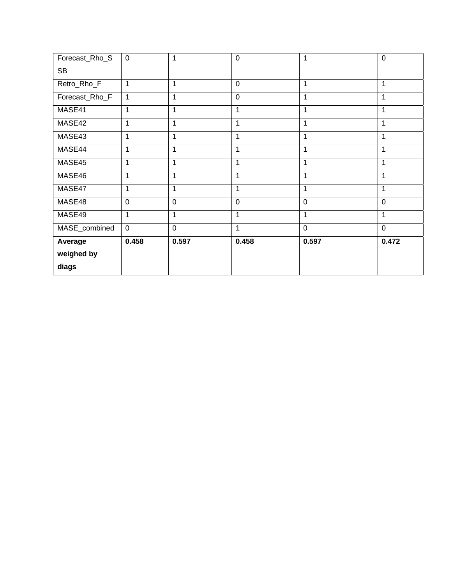| Forecast_Rho_S | $\mathbf 0$    | 1              | $\mathbf 0$    | 1              | $\mathbf 0$    |
|----------------|----------------|----------------|----------------|----------------|----------------|
| <b>SB</b>      |                |                |                |                |                |
| Retro_Rho_F    | 1              | 1              | $\overline{0}$ | 1              | 1              |
| Forecast_Rho_F | 1              | $\mathbf{1}$   | 0              | 1              | 1              |
| MASE41         | 1              | $\mathbf{1}$   | 1              | 1              | 1              |
| MASE42         | 1              | 1              | 1              | 1              | $\mathbf{1}$   |
| MASE43         | 1              | $\mathbf 1$    | 1              | 1              | $\mathbf{1}$   |
| MASE44         | 1              | 1              | 1              | 1              | 1              |
| MASE45         | 1              | 1              | 1              | 1              | 1              |
| MASE46         |                | 1              | 1              | $\mathbf 1$    | $\mathbf 1$    |
| MASE47         | $\mathbf{1}$   | $\mathbf{1}$   | 1              | 1              | $\mathbf{1}$   |
| MASE48         | $\overline{0}$ | $\overline{0}$ | $\overline{0}$ | $\overline{0}$ | $\overline{0}$ |
| MASE49         | 1              | 1              | 1              | 1              | 1              |
| MASE_combined  | $\mathbf 0$    | $\mathbf 0$    | 1              | $\mathbf 0$    | $\mathbf 0$    |
| Average        | 0.458          | 0.597          | 0.458          | 0.597          | 0.472          |
| weighed by     |                |                |                |                |                |
| diags          |                |                |                |                |                |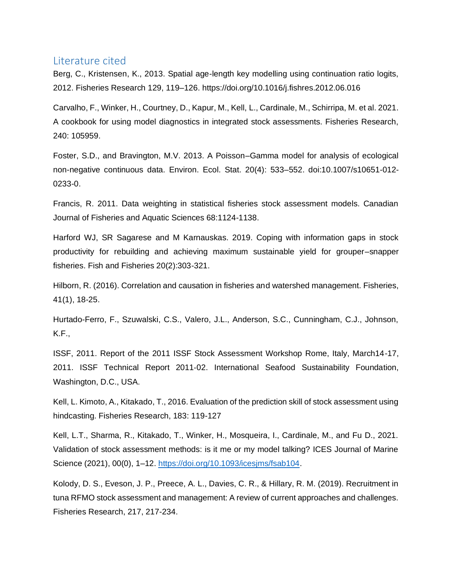## Literature cited

Berg, C., Kristensen, K., 2013. Spatial age-length key modelling using continuation ratio logits, 2012. Fisheries Research 129, 119–126. https://doi.org/10.1016/j.fishres.2012.06.016

Carvalho, F., Winker, H., Courtney, D., Kapur, M., Kell, L., Cardinale, M., Schirripa, M. et al. 2021. A cookbook for using model diagnostics in integrated stock assessments. Fisheries Research, 240: 105959.

Foster, S.D., and Bravington, M.V. 2013. A Poisson–Gamma model for analysis of ecological non-negative continuous data. Environ. Ecol. Stat. 20(4): 533–552. doi:10.1007/s10651-012- 0233-0.

Francis, R. 2011. Data weighting in statistical fisheries stock assessment models. Canadian Journal of Fisheries and Aquatic Sciences 68:1124-1138.

Harford WJ, SR Sagarese and M Karnauskas. 2019. Coping with information gaps in stock productivity for rebuilding and achieving maximum sustainable yield for grouper–snapper fisheries. Fish and Fisheries 20(2):303-321.

Hilborn, R. (2016). Correlation and causation in fisheries and watershed management. Fisheries, 41(1), 18-25.

Hurtado-Ferro, F., Szuwalski, C.S., Valero, J.L., Anderson, S.C., Cunningham, C.J., Johnson, K.F.,

ISSF, 2011. Report of the 2011 ISSF Stock Assessment Workshop Rome, Italy, March14-17, 2011. ISSF Technical Report 2011‐02. International Seafood Sustainability Foundation, Washington, D.C., USA.

Kell, L. Kimoto, A., Kitakado, T., 2016. Evaluation of the prediction skill of stock assessment using hindcasting. Fisheries Research, 183: 119-127

Kell, L.T., Sharma, R., Kitakado, T., Winker, H., Mosqueira, I., Cardinale, M., and Fu D., 2021. Validation of stock assessment methods: is it me or my model talking? ICES Journal of Marine Science (2021), 00(0), 1–12. [https://doi.org/10.1093/icesjms/fsab104.](https://doi.org/10.1093/icesjms/fsab104)

Kolody, D. S., Eveson, J. P., Preece, A. L., Davies, C. R., & Hillary, R. M. (2019). Recruitment in tuna RFMO stock assessment and management: A review of current approaches and challenges. Fisheries Research, 217, 217-234.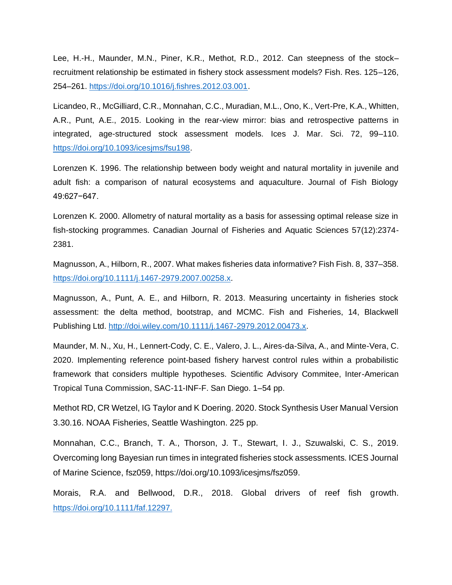Lee, H.-H., Maunder, M.N., Piner, K.R., Methot, R.D., 2012. Can steepness of the stock– recruitment relationship be estimated in fishery stock assessment models? Fish. Res. 125–126, 254–261. [https://doi.org/10.1016/j.fishres.2012.03.001.](https://doi.org/10.1016/j.fishres.2012.03.001)

Licandeo, R., McGilliard, C.R., Monnahan, C.C., Muradian, M.L., Ono, K., Vert-Pre, K.A., Whitten, A.R., Punt, A.E., 2015. Looking in the rear-view mirror: bias and retrospective patterns in integrated, age-structured stock assessment models. Ices J. Mar. Sci. 72, 99–110. [https://doi.org/10.1093/icesjms/fsu198.](https://doi.org/10.1093/icesjms/fsu198)

Lorenzen K. 1996. The relationship between body weight and natural mortality in juvenile and adult fish: a comparison of natural ecosystems and aquaculture. Journal of Fish Biology 49:627−647.

Lorenzen K. 2000. Allometry of natural mortality as a basis for assessing optimal release size in fish-stocking programmes. Canadian Journal of Fisheries and Aquatic Sciences 57(12):2374- 2381.

Magnusson, A., Hilborn, R., 2007. What makes fisheries data informative? Fish Fish. 8, 337–358. [https://doi.org/10.1111/j.1467-2979.2007.00258.x.](https://doi.org/10.1111/j.1467-2979.2007.00258.x)

Magnusson, A., Punt, A. E., and Hilborn, R. 2013. Measuring uncertainty in fisheries stock assessment: the delta method, bootstrap, and MCMC. Fish and Fisheries, 14, Blackwell Publishing Ltd. [http://doi.wiley.com/10.1111/j.1467-2979.2012.00473.x.](http://doi.wiley.com/10.1111/j.1467-2979.2012.00473.x)

Maunder, M. N., Xu, H., Lennert-Cody, C. E., Valero, J. L., Aires-da-Silva, A., and Minte-Vera, C. 2020. Implementing reference point-based fishery harvest control rules within a probabilistic framework that considers multiple hypotheses. Scientific Advisory Commitee, Inter-American Tropical Tuna Commission, SAC-11-INF-F. San Diego. 1–54 pp.

Methot RD, CR Wetzel, IG Taylor and K Doering. 2020. Stock Synthesis User Manual Version 3.30.16. NOAA Fisheries, Seattle Washington. 225 pp.

Monnahan, C.C., Branch, T. A., Thorson, J. T., Stewart, I. J., Szuwalski, C. S., 2019. Overcoming long Bayesian run times in integrated fisheries stock assessments. ICES Journal of Marine Science, fsz059, https://doi.org/10.1093/icesjms/fsz059.

Morais, R.A. and Bellwood, D.R., 2018. Global drivers of reef fish growth. https://doi.org/10.1111/faf.12297.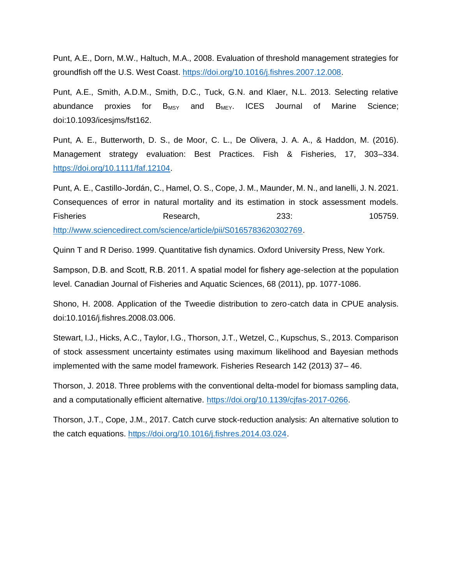Punt, A.E., Dorn, M.W., Haltuch, M.A., 2008. Evaluation of threshold management strategies for groundfish off the U.S. West Coast. [https://doi.org/10.1016/j.fishres.2007.12.008.](https://doi.org/10.1016/j.fishres.2007.12.008)

Punt, A.E., Smith, A.D.M., Smith, D.C., Tuck, G.N. and Klaer, N.L. 2013. Selecting relative abundance proxies for  $B_{MSY}$  and  $B_{M EY}$ . ICES Journal of Marine Science; doi:10.1093/icesjms/fst162.

Punt, A. E., Butterworth, D. S., de Moor, C. L., De Olivera, J. A. A., & Haddon, M. (2016). Management strategy evaluation: Best Practices. Fish & Fisheries, 17, 303–334. [https://doi.org/10.1111/faf.12104.](https://doi.org/10.1111/faf.12104)

Punt, A. E., Castillo-Jordán, C., Hamel, O. S., Cope, J. M., Maunder, M. N., and Ianelli, J. N. 2021. Consequences of error in natural mortality and its estimation in stock assessment models. Fisheries **Research, 233:** 105759. [http://www.sciencedirect.com/science/article/pii/S0165783620302769.](http://www.sciencedirect.com/science/article/pii/S0165783620302769)

Quinn T and R Deriso. 1999. Quantitative fish dynamics. Oxford University Press, New York.

Sampson, D.B. and Scott, R.B. 2011. A spatial model for fishery age-selection at the population level. Canadian Journal of Fisheries and Aquatic Sciences, 68 (2011), pp. 1077-1086.

Shono, H. 2008. Application of the Tweedie distribution to zero-catch data in CPUE analysis. doi:10.1016/j.fishres.2008.03.006.

Stewart, I.J., Hicks, A.C., Taylor, I.G., Thorson, J.T., Wetzel, C., Kupschus, S., 2013. Comparison of stock assessment uncertainty estimates using maximum likelihood and Bayesian methods implemented with the same model framework. Fisheries Research 142 (2013) 37– 46.

Thorson, J. 2018. Three problems with the conventional delta-model for biomass sampling data, and a computationally efficient alternative. [https://doi.org/10.1139/cjfas-2017-0266.](https://doi.org/10.1139/cjfas-2017-0266)

Thorson, J.T., Cope, J.M., 2017. Catch curve stock-reduction analysis: An alternative solution to the catch equations. [https://doi.org/10.1016/j.fishres.2014.03.024.](https://doi.org/10.1016/j.fishres.2014.03.024)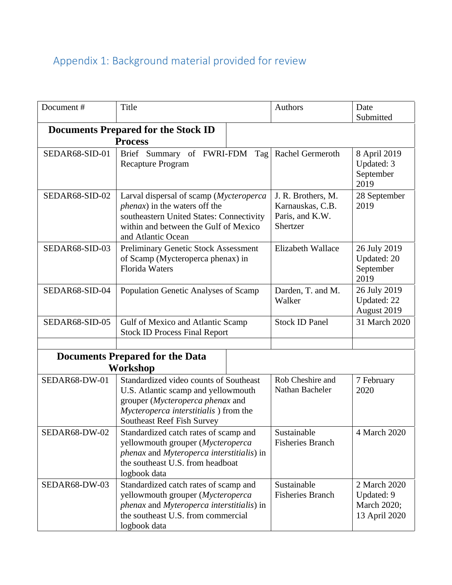# Appendix 1: Background material provided for review

| Document#      | Title                                                                                                                                                                                           | Authors                                                               | Date<br>Submitted                                          |
|----------------|-------------------------------------------------------------------------------------------------------------------------------------------------------------------------------------------------|-----------------------------------------------------------------------|------------------------------------------------------------|
|                | <b>Documents Prepared for the Stock ID</b>                                                                                                                                                      |                                                                       |                                                            |
|                | <b>Process</b>                                                                                                                                                                                  |                                                                       |                                                            |
| SEDAR68-SID-01 | Brief Summary of FWRI-FDM<br>Tag<br><b>Recapture Program</b>                                                                                                                                    | Rachel Germeroth                                                      | 8 April 2019<br>Updated: 3<br>September<br>2019            |
| SEDAR68-SID-02 | Larval dispersal of scamp (Mycteroperca<br><i>phenax</i> ) in the waters off the<br>southeastern United States: Connectivity<br>within and between the Gulf of Mexico<br>and Atlantic Ocean     | J. R. Brothers, M.<br>Karnauskas, C.B.<br>Paris, and K.W.<br>Shertzer | 28 September<br>2019                                       |
| SEDAR68-SID-03 | <b>Preliminary Genetic Stock Assessment</b><br>of Scamp (Mycteroperca phenax) in<br><b>Florida Waters</b>                                                                                       | Elizabeth Wallace                                                     | 26 July 2019<br>Updated: 20<br>September<br>2019           |
| SEDAR68-SID-04 | Population Genetic Analyses of Scamp                                                                                                                                                            | Darden, T. and M.<br>Walker                                           | 26 July 2019<br>Updated: 22<br>August 2019                 |
| SEDAR68-SID-05 | Gulf of Mexico and Atlantic Scamp<br><b>Stock ID Process Final Report</b>                                                                                                                       | <b>Stock ID Panel</b>                                                 | 31 March 2020                                              |
|                |                                                                                                                                                                                                 |                                                                       |                                                            |
|                | <b>Documents Prepared for the Data</b>                                                                                                                                                          |                                                                       |                                                            |
|                | Workshop                                                                                                                                                                                        |                                                                       |                                                            |
| SEDAR68-DW-01  | Standardized video counts of Southeast<br>U.S. Atlantic scamp and yellowmouth<br>grouper (Mycteroperca phenax and<br>Mycteroperca interstitialis) from the<br><b>Southeast Reef Fish Survey</b> | Rob Cheshire and<br>Nathan Bacheler                                   | 7 February<br>2020                                         |
| SEDAR68-DW-02  | Standardized catch rates of scamp and<br>yellowmouth grouper (Mycteroperca<br>phenax and Myteroperca interstitialis) in<br>the southeast U.S. from headboat<br>logbook data                     | Sustainable<br><b>Fisheries Branch</b>                                | 4 March 2020                                               |
| SEDAR68-DW-03  | Standardized catch rates of scamp and<br>yellowmouth grouper (Mycteroperca<br>phenax and Myteroperca interstitialis) in<br>the southeast U.S. from commercial<br>logbook data                   | Sustainable<br><b>Fisheries Branch</b>                                | 2 March 2020<br>Updated: 9<br>March 2020;<br>13 April 2020 |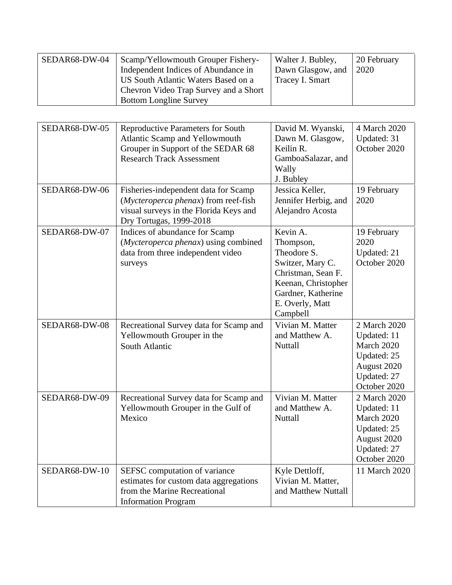| SEDAR68-DW-04 | Scamp/Yellowmouth Grouper Fishery-    | Walter J. Bubley, | 20 February |
|---------------|---------------------------------------|-------------------|-------------|
|               | Independent Indices of Abundance in   | Dawn Glasgow, and | 2020        |
|               | US South Atlantic Waters Based on a   | Tracey I. Smart   |             |
|               | Chevron Video Trap Survey and a Short |                   |             |
|               | <b>Bottom Longline Survey</b>         |                   |             |

| SEDAR68-DW-05 | Reproductive Parameters for South<br>Atlantic Scamp and Yellowmouth<br>Grouper in Support of the SEDAR 68<br><b>Research Track Assessment</b>     | David M. Wyanski,<br>Dawn M. Glasgow,<br>Keilin R.<br>GamboaSalazar, and<br>Wally                                                                          | 4 March 2020<br>Updated: 31<br>October 2020                                                            |
|---------------|---------------------------------------------------------------------------------------------------------------------------------------------------|------------------------------------------------------------------------------------------------------------------------------------------------------------|--------------------------------------------------------------------------------------------------------|
|               |                                                                                                                                                   | J. Bubley                                                                                                                                                  |                                                                                                        |
| SEDAR68-DW-06 | Fisheries-independent data for Scamp<br>(Mycteroperca phenax) from reef-fish<br>visual surveys in the Florida Keys and<br>Dry Tortugas, 1999-2018 | Jessica Keller,<br>Jennifer Herbig, and<br>Alejandro Acosta                                                                                                | 19 February<br>2020                                                                                    |
| SEDAR68-DW-07 | Indices of abundance for Scamp<br>(Mycteroperca phenax) using combined<br>data from three independent video<br>surveys                            | Kevin A.<br>Thompson,<br>Theodore S.<br>Switzer, Mary C.<br>Christman, Sean F.<br>Keenan, Christopher<br>Gardner, Katherine<br>E. Overly, Matt<br>Campbell | 19 February<br>2020<br>Updated: 21<br>October 2020                                                     |
| SEDAR68-DW-08 | Recreational Survey data for Scamp and<br>Yellowmouth Grouper in the<br>South Atlantic                                                            | Vivian M. Matter<br>and Matthew A.<br>Nuttall                                                                                                              | 2 March 2020<br>Updated: 11<br>March 2020<br>Updated: 25<br>August 2020<br>Updated: 27<br>October 2020 |
| SEDAR68-DW-09 | Recreational Survey data for Scamp and<br>Yellowmouth Grouper in the Gulf of<br>Mexico                                                            | Vivian M. Matter<br>and Matthew A.<br>Nuttall                                                                                                              | 2 March 2020<br>Updated: 11<br>March 2020<br>Updated: 25<br>August 2020<br>Updated: 27<br>October 2020 |
| SEDAR68-DW-10 | SEFSC computation of variance<br>estimates for custom data aggregations<br>from the Marine Recreational<br><b>Information Program</b>             | Kyle Dettloff,<br>Vivian M. Matter,<br>and Matthew Nuttall                                                                                                 | 11 March 2020                                                                                          |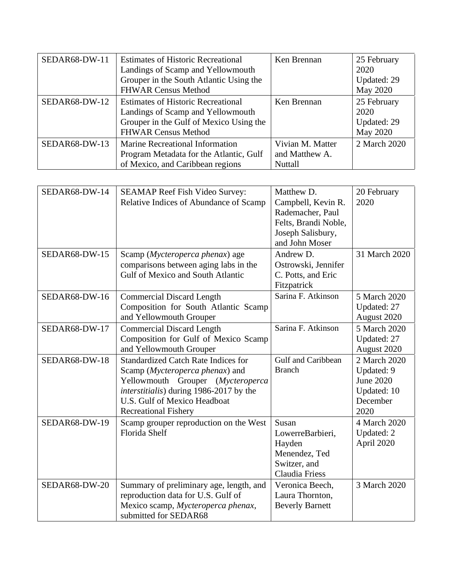| SEDAR68-DW-11 | <b>Estimates of Historic Recreational</b><br>Landings of Scamp and Yellowmouth                                                                          | Ken Brennan                                   | 25 February<br>2020                            |
|---------------|---------------------------------------------------------------------------------------------------------------------------------------------------------|-----------------------------------------------|------------------------------------------------|
|               | Grouper in the South Atlantic Using the<br><b>FHWAR Census Method</b>                                                                                   |                                               | Updated: 29<br>May 2020                        |
| SEDAR68-DW-12 | <b>Estimates of Historic Recreational</b><br>Landings of Scamp and Yellowmouth<br>Grouper in the Gulf of Mexico Using the<br><b>FHWAR Census Method</b> | Ken Brennan                                   | 25 February<br>2020<br>Updated: 29<br>May 2020 |
| SEDAR68-DW-13 | <b>Marine Recreational Information</b><br>Program Metadata for the Atlantic, Gulf<br>of Mexico, and Caribbean regions                                   | Vivian M. Matter<br>and Matthew A.<br>Nuttall | 2 March 2020                                   |

| SEDAR68-DW-14 | <b>SEAMAP Reef Fish Video Survey:</b><br>Relative Indices of Abundance of Scamp                                                                                                                                                               | Matthew D.<br>Campbell, Kevin R.<br>Rademacher, Paul<br>Felts, Brandi Noble,<br>Joseph Salisbury,<br>and John Moser | 20 February<br>2020                                                        |
|---------------|-----------------------------------------------------------------------------------------------------------------------------------------------------------------------------------------------------------------------------------------------|---------------------------------------------------------------------------------------------------------------------|----------------------------------------------------------------------------|
| SEDAR68-DW-15 | Scamp (Mycteroperca phenax) age<br>comparisons between aging labs in the<br><b>Gulf of Mexico and South Atlantic</b>                                                                                                                          | Andrew D.<br>Ostrowski, Jennifer<br>C. Potts, and Eric<br>Fitzpatrick                                               | 31 March 2020                                                              |
| SEDAR68-DW-16 | <b>Commercial Discard Length</b><br>Composition for South Atlantic Scamp<br>and Yellowmouth Grouper                                                                                                                                           | Sarina F. Atkinson                                                                                                  | 5 March 2020<br>Updated: 27<br>August 2020                                 |
| SEDAR68-DW-17 | <b>Commercial Discard Length</b><br>Composition for Gulf of Mexico Scamp<br>and Yellowmouth Grouper                                                                                                                                           | Sarina F. Atkinson                                                                                                  | 5 March 2020<br>Updated: 27<br>August 2020                                 |
| SEDAR68-DW-18 | <b>Standardized Catch Rate Indices for</b><br>Scamp ( <i>Mycteroperca phenax</i> ) and<br>Yellowmouth Grouper (Mycteroperca<br><i>interstitialis</i> ) during 1986-2017 by the<br>U.S. Gulf of Mexico Headboat<br><b>Recreational Fishery</b> | Gulf and Caribbean<br><b>Branch</b>                                                                                 | 2 March 2020<br>Updated: 9<br>June 2020<br>Updated: 10<br>December<br>2020 |
| SEDAR68-DW-19 | Scamp grouper reproduction on the West<br><b>Florida Shelf</b>                                                                                                                                                                                | Susan<br>LowerreBarbieri,<br>Hayden<br>Menendez, Ted<br>Switzer, and<br><b>Claudia Friess</b>                       | 4 March 2020<br>Updated: 2<br>April 2020                                   |
| SEDAR68-DW-20 | Summary of preliminary age, length, and<br>reproduction data for U.S. Gulf of<br>Mexico scamp, Mycteroperca phenax,<br>submitted for SEDAR68                                                                                                  | Veronica Beech,<br>Laura Thornton.<br><b>Beverly Barnett</b>                                                        | 3 March 2020                                                               |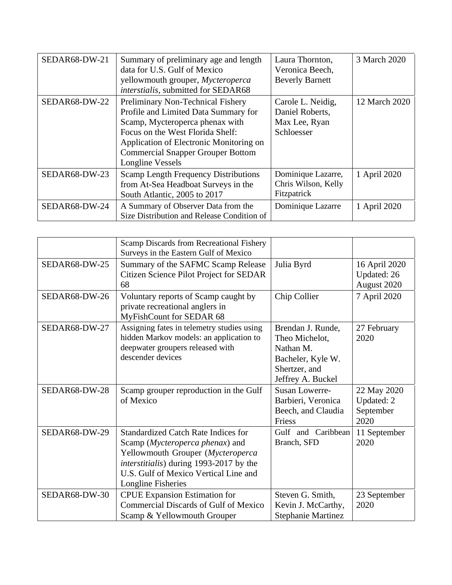| SEDAR68-DW-21 | Summary of preliminary age and length<br>data for U.S. Gulf of Mexico<br>yellowmouth grouper, Mycteroperca<br>interstialis, submitted for SEDAR68                                                                                                           | Laura Thornton,<br>Veronica Beech,<br><b>Beverly Barnett</b>        | 3 March 2020  |
|---------------|-------------------------------------------------------------------------------------------------------------------------------------------------------------------------------------------------------------------------------------------------------------|---------------------------------------------------------------------|---------------|
| SEDAR68-DW-22 | Preliminary Non-Technical Fishery<br>Profile and Limited Data Summary for<br>Scamp, Mycteroperca phenax with<br>Focus on the West Florida Shelf:<br>Application of Electronic Monitoring on<br><b>Commercial Snapper Grouper Bottom</b><br>Longline Vessels | Carole L. Neidig,<br>Daniel Roberts,<br>Max Lee, Ryan<br>Schloesser | 12 March 2020 |
| SEDAR68-DW-23 | <b>Scamp Length Frequency Distributions</b><br>from At-Sea Headboat Surveys in the<br>South Atlantic, 2005 to 2017                                                                                                                                          | Dominique Lazarre,<br>Chris Wilson, Kelly<br>Fitzpatrick            | 1 April 2020  |
| SEDAR68-DW-24 | A Summary of Observer Data from the<br>Size Distribution and Release Condition of                                                                                                                                                                           | Dominique Lazarre                                                   | 1 April 2020  |

|               | Scamp Discards from Recreational Fishery<br>Surveys in the Eastern Gulf of Mexico                                                                                                                                            |                                                                                                             |                                                |
|---------------|------------------------------------------------------------------------------------------------------------------------------------------------------------------------------------------------------------------------------|-------------------------------------------------------------------------------------------------------------|------------------------------------------------|
| SEDAR68-DW-25 | Summary of the SAFMC Scamp Release<br>Citizen Science Pilot Project for SEDAR<br>68                                                                                                                                          | Julia Byrd                                                                                                  | 16 April 2020<br>Updated: 26<br>August 2020    |
| SEDAR68-DW-26 | Voluntary reports of Scamp caught by<br>private recreational anglers in<br>MyFishCount for SEDAR 68                                                                                                                          | Chip Collier                                                                                                | 7 April 2020                                   |
| SEDAR68-DW-27 | Assigning fates in telemetry studies using<br>hidden Markov models: an application to<br>deepwater groupers released with<br>descender devices                                                                               | Brendan J. Runde,<br>Theo Michelot,<br>Nathan M.<br>Bacheler, Kyle W.<br>Shertzer, and<br>Jeffrey A. Buckel | 27 February<br>2020                            |
| SEDAR68-DW-28 | Scamp grouper reproduction in the Gulf<br>of Mexico                                                                                                                                                                          | <b>Susan Lowerre-</b><br>Barbieri, Veronica<br>Beech, and Claudia<br>Friess                                 | 22 May 2020<br>Updated: 2<br>September<br>2020 |
| SEDAR68-DW-29 | <b>Standardized Catch Rate Indices for</b><br>Scamp (Mycteroperca phenax) and<br>Yellowmouth Grouper (Mycteroperca<br>interstitialis) during 1993-2017 by the<br>U.S. Gulf of Mexico Vertical Line and<br>Longline Fisheries | Gulf and Caribbean<br>Branch, SFD                                                                           | 11 September<br>2020                           |
| SEDAR68-DW-30 | <b>CPUE</b> Expansion Estimation for<br><b>Commercial Discards of Gulf of Mexico</b><br>Scamp & Yellowmouth Grouper                                                                                                          | Steven G. Smith,<br>Kevin J. McCarthy,<br><b>Stephanie Martinez</b>                                         | 23 September<br>2020                           |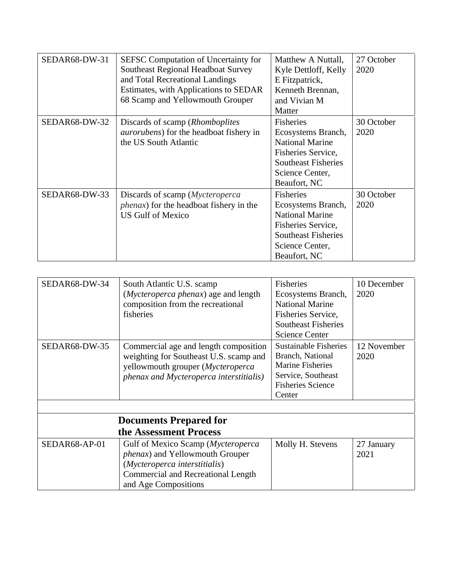| SEDAR68-DW-31 | <b>SEFSC Computation of Uncertainty for</b><br>Southeast Regional Headboat Survey<br>and Total Recreational Landings<br>Estimates, with Applications to SEDAR<br>68 Scamp and Yellowmouth Grouper | Matthew A Nuttall,<br>Kyle Dettloff, Kelly<br>E Fitzpatrick,<br>Kenneth Brennan,<br>and Vivian M<br>Matter                                       | 27 October<br>2020 |
|---------------|---------------------------------------------------------------------------------------------------------------------------------------------------------------------------------------------------|--------------------------------------------------------------------------------------------------------------------------------------------------|--------------------|
| SEDAR68-DW-32 | Discards of scamp ( <i>Rhomboplites</i> )<br><i>aurorubens</i> ) for the headboat fishery in<br>the US South Atlantic                                                                             | Fisheries<br>Ecosystems Branch,<br><b>National Marine</b><br>Fisheries Service,<br><b>Southeast Fisheries</b><br>Science Center,<br>Beaufort, NC | 30 October<br>2020 |
| SEDAR68-DW-33 | Discards of scamp ( <i>Mycteroperca</i><br><i>phenax</i> ) for the headboat fishery in the<br><b>US Gulf of Mexico</b>                                                                            | Fisheries<br>Ecosystems Branch,<br><b>National Marine</b><br>Fisheries Service,<br><b>Southeast Fisheries</b><br>Science Center,<br>Beaufort, NC | 30 October<br>2020 |

| SEDAR68-DW-34 | South Atlantic U.S. scamp<br>(Mycteroperca phenax) age and length<br>composition from the recreational<br>fisheries                                                                 | <b>Fisheries</b><br>Ecosystems Branch,<br><b>National Marine</b><br>Fisheries Service,<br><b>Southeast Fisheries</b><br><b>Science Center</b> | 10 December<br>2020 |
|---------------|-------------------------------------------------------------------------------------------------------------------------------------------------------------------------------------|-----------------------------------------------------------------------------------------------------------------------------------------------|---------------------|
| SEDAR68-DW-35 | Commercial age and length composition<br>weighting for Southeast U.S. scamp and<br>yellowmouth grouper (Mycteroperca<br>phenax and Mycteroperca interstitialis)                     | <b>Sustainable Fisheries</b><br>Branch, National<br><b>Marine Fisheries</b><br>Service, Southeast<br><b>Fisheries Science</b><br>Center       | 12 November<br>2020 |
|               |                                                                                                                                                                                     |                                                                                                                                               |                     |
|               | <b>Documents Prepared for</b>                                                                                                                                                       |                                                                                                                                               |                     |
|               | the Assessment Process                                                                                                                                                              |                                                                                                                                               |                     |
| SEDAR68-AP-01 | Gulf of Mexico Scamp (Mycteroperca<br><i>phenax</i> ) and Yellowmouth Grouper<br>(Mycteroperca interstitialis)<br><b>Commercial and Recreational Length</b><br>and Age Compositions | Molly H. Stevens                                                                                                                              | 27 January<br>2021  |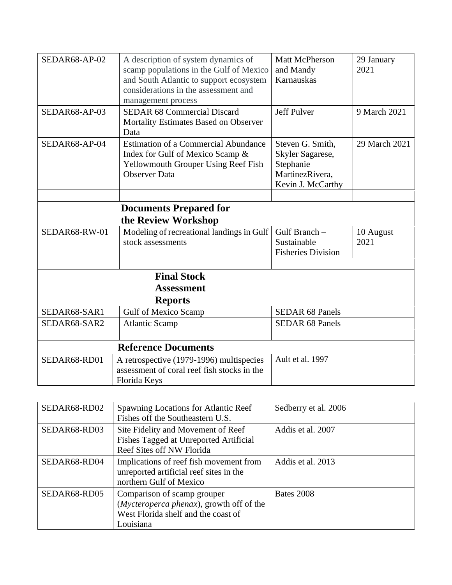| SEDAR68-AP-02 | A description of system dynamics of<br>scamp populations in the Gulf of Mexico<br>and South Atlantic to support ecosystem<br>considerations in the assessment and<br>management process | Matt McPherson<br>and Mandy<br>Karnauskas                                                 | 29 January<br>2021 |
|---------------|-----------------------------------------------------------------------------------------------------------------------------------------------------------------------------------------|-------------------------------------------------------------------------------------------|--------------------|
| SEDAR68-AP-03 | <b>SEDAR 68 Commercial Discard</b><br>Mortality Estimates Based on Observer<br>Data                                                                                                     | <b>Jeff Pulver</b>                                                                        | 9 March 2021       |
| SEDAR68-AP-04 | <b>Estimation of a Commercial Abundance</b><br>Index for Gulf of Mexico Scamp &<br>Yellowmouth Grouper Using Reef Fish<br><b>Observer Data</b>                                          | Steven G. Smith,<br>Skyler Sagarese,<br>Stephanie<br>MartinezRivera,<br>Kevin J. McCarthy | 29 March 2021      |
|               | <b>Documents Prepared for</b>                                                                                                                                                           |                                                                                           |                    |
|               | the Review Workshop                                                                                                                                                                     |                                                                                           |                    |
| SEDAR68-RW-01 | Modeling of recreational landings in Gulf<br>stock assessments                                                                                                                          | Gulf Branch -<br>Sustainable<br><b>Fisheries Division</b>                                 | 10 August<br>2021  |
|               |                                                                                                                                                                                         |                                                                                           |                    |
|               | <b>Final Stock</b>                                                                                                                                                                      |                                                                                           |                    |
|               | <b>Assessment</b>                                                                                                                                                                       |                                                                                           |                    |
|               | <b>Reports</b>                                                                                                                                                                          |                                                                                           |                    |
| SEDAR68-SAR1  | <b>Gulf of Mexico Scamp</b>                                                                                                                                                             | <b>SEDAR 68 Panels</b>                                                                    |                    |
| SEDAR68-SAR2  | <b>Atlantic Scamp</b>                                                                                                                                                                   | <b>SEDAR 68 Panels</b>                                                                    |                    |
|               |                                                                                                                                                                                         |                                                                                           |                    |
|               | <b>Reference Documents</b>                                                                                                                                                              |                                                                                           |                    |
| SEDAR68-RD01  | A retrospective (1979-1996) multispecies<br>assessment of coral reef fish stocks in the<br>Florida Keys                                                                                 | Ault et al. 1997                                                                          |                    |

| SEDAR68-RD02 | Spawning Locations for Atlantic Reef<br>Fishes off the Southeastern U.S.                                                    | Sedberry et al. 2006 |
|--------------|-----------------------------------------------------------------------------------------------------------------------------|----------------------|
| SEDAR68-RD03 | Site Fidelity and Movement of Reef<br>Fishes Tagged at Unreported Artificial<br>Reef Sites off NW Florida                   | Addis et al. 2007    |
| SEDAR68-RD04 | Implications of reef fish movement from<br>unreported artificial reef sites in the<br>northern Gulf of Mexico               | Addis et al. 2013    |
| SEDAR68-RD05 | Comparison of scamp grouper<br>(Mycteroperca phenax), growth off of the<br>West Florida shelf and the coast of<br>Louisiana | Bates 2008           |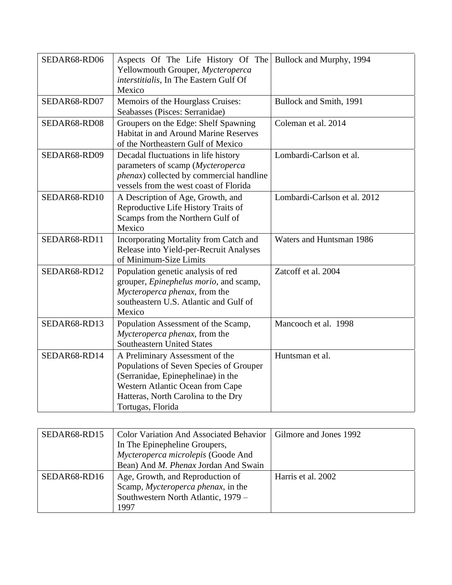| SEDAR68-RD06 | Aspects Of The Life History Of The<br>Yellowmouth Grouper, Mycteroperca<br>interstitialis, In The Eastern Gulf Of<br>Mexico                                                                                      | Bullock and Murphy, 1994     |
|--------------|------------------------------------------------------------------------------------------------------------------------------------------------------------------------------------------------------------------|------------------------------|
| SEDAR68-RD07 | Memoirs of the Hourglass Cruises:<br>Seabasses (Pisces: Serranidae)                                                                                                                                              | Bullock and Smith, 1991      |
| SEDAR68-RD08 | Groupers on the Edge: Shelf Spawning<br>Habitat in and Around Marine Reserves<br>of the Northeastern Gulf of Mexico                                                                                              | Coleman et al. 2014          |
| SEDAR68-RD09 | Decadal fluctuations in life history<br>parameters of scamp (Mycteroperca<br>phenax) collected by commercial handline<br>vessels from the west coast of Florida                                                  | Lombardi-Carlson et al.      |
| SEDAR68-RD10 | A Description of Age, Growth, and<br>Reproductive Life History Traits of<br>Scamps from the Northern Gulf of<br>Mexico                                                                                           | Lombardi-Carlson et al. 2012 |
| SEDAR68-RD11 | Incorporating Mortality from Catch and<br>Release into Yield-per-Recruit Analyses<br>of Minimum-Size Limits                                                                                                      | Waters and Huntsman 1986     |
| SEDAR68-RD12 | Population genetic analysis of red<br>grouper, Epinephelus morio, and scamp,<br>Mycteroperca phenax, from the<br>southeastern U.S. Atlantic and Gulf of<br>Mexico                                                | Zatcoff et al. 2004          |
| SEDAR68-RD13 | Population Assessment of the Scamp,<br>Mycteroperca phenax, from the<br><b>Southeastern United States</b>                                                                                                        | Mancooch et al. 1998         |
| SEDAR68-RD14 | A Preliminary Assessment of the<br>Populations of Seven Species of Grouper<br>(Serranidae, Epinephelinae) in the<br>Western Atlantic Ocean from Cape<br>Hatteras, North Carolina to the Dry<br>Tortugas, Florida | Huntsman et al.              |

| SEDAR68-RD15 | <b>Color Variation And Associated Behavior</b> | Gilmore and Jones 1992 |
|--------------|------------------------------------------------|------------------------|
|              | In The Epinepheline Groupers,                  |                        |
|              | Mycteroperca microlepis (Goode And             |                        |
|              | Bean) And M. Phenax Jordan And Swain           |                        |
| SEDAR68-RD16 | Age, Growth, and Reproduction of               | Harris et al. 2002     |
|              | Scamp, Mycteroperca phenax, in the             |                        |
|              | Southwestern North Atlantic, 1979 -            |                        |
|              | 1997                                           |                        |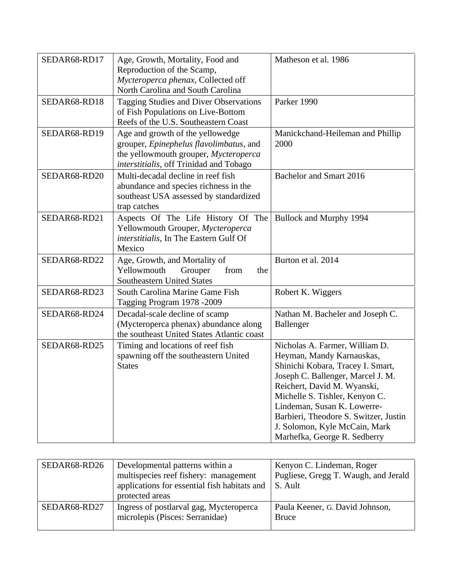| SEDAR68-RD17 | Age, Growth, Mortality, Food and<br>Reproduction of the Scamp,<br>Mycteroperca phenax, Collected off<br>North Carolina and South Carolina                       | Matheson et al. 1986                                                                                                                                                                                                                                                                                                                            |
|--------------|-----------------------------------------------------------------------------------------------------------------------------------------------------------------|-------------------------------------------------------------------------------------------------------------------------------------------------------------------------------------------------------------------------------------------------------------------------------------------------------------------------------------------------|
| SEDAR68-RD18 | <b>Tagging Studies and Diver Observations</b><br>of Fish Populations on Live-Bottom<br>Reefs of the U.S. Southeastern Coast                                     | Parker 1990                                                                                                                                                                                                                                                                                                                                     |
| SEDAR68-RD19 | Age and growth of the yellowedge<br>grouper, Epinephelus flavolimbatus, and<br>the yellowmouth grouper, Mycteroperca<br>interstitialis, off Trinidad and Tobago | Manickchand-Heileman and Phillip<br>2000                                                                                                                                                                                                                                                                                                        |
| SEDAR68-RD20 | Multi-decadal decline in reef fish<br>abundance and species richness in the<br>southeast USA assessed by standardized<br>trap catches                           | Bachelor and Smart 2016                                                                                                                                                                                                                                                                                                                         |
| SEDAR68-RD21 | Aspects Of The Life History Of The<br>Yellowmouth Grouper, Mycteroperca<br>interstitialis, In The Eastern Gulf Of<br>Mexico                                     | Bullock and Murphy 1994                                                                                                                                                                                                                                                                                                                         |
| SEDAR68-RD22 | Age, Growth, and Mortality of<br>Yellowmouth<br>Grouper<br>from<br>the<br><b>Southeastern United States</b>                                                     | Burton et al. 2014                                                                                                                                                                                                                                                                                                                              |
| SEDAR68-RD23 | South Carolina Marine Game Fish<br>Tagging Program 1978 -2009                                                                                                   | Robert K. Wiggers                                                                                                                                                                                                                                                                                                                               |
| SEDAR68-RD24 | Decadal-scale decline of scamp<br>(Mycteroperca phenax) abundance along<br>the southeast United States Atlantic coast                                           | Nathan M. Bacheler and Joseph C.<br>Ballenger                                                                                                                                                                                                                                                                                                   |
| SEDAR68-RD25 | Timing and locations of reef fish<br>spawning off the southeastern United<br><b>States</b>                                                                      | Nicholas A. Farmer, William D.<br>Heyman, Mandy Karnauskas,<br>Shinichi Kobara, Tracey I. Smart,<br>Joseph C. Ballenger, Marcel J. M.<br>Reichert, David M. Wyanski,<br>Michelle S. Tishler, Kenyon C.<br>Lindeman, Susan K. Lowerre-<br>Barbieri, Theodore S. Switzer, Justin<br>J. Solomon, Kyle McCain, Mark<br>Marhefka, George R. Sedberry |

| SEDAR68-RD26 | Developmental patterns within a<br>multispecies reef fishery: management<br>applications for essential fish habitats and<br>protected areas | Kenyon C. Lindeman, Roger<br>Pugliese, Gregg T. Waugh, and Jerald<br>S. Ault |
|--------------|---------------------------------------------------------------------------------------------------------------------------------------------|------------------------------------------------------------------------------|
| SEDAR68-RD27 | Ingress of postlarval gag, Mycteroperca<br>microlepis (Pisces: Serranidae)                                                                  | Paula Keener, G. David Johnson,<br>Bruce                                     |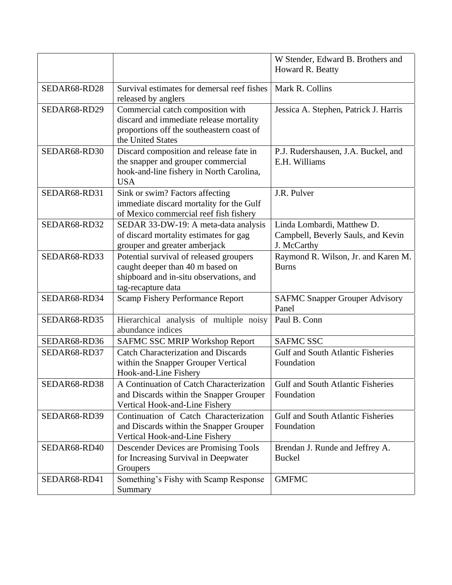|              |                                                                                                                                                | W Stender, Edward B. Brothers and<br>Howard R. Beatty                           |
|--------------|------------------------------------------------------------------------------------------------------------------------------------------------|---------------------------------------------------------------------------------|
| SEDAR68-RD28 | Survival estimates for demersal reef fishes<br>released by anglers                                                                             | Mark R. Collins                                                                 |
| SEDAR68-RD29 | Commercial catch composition with<br>discard and immediate release mortality<br>proportions off the southeastern coast of<br>the United States | Jessica A. Stephen, Patrick J. Harris                                           |
| SEDAR68-RD30 | Discard composition and release fate in<br>the snapper and grouper commercial<br>hook-and-line fishery in North Carolina,<br><b>USA</b>        | P.J. Rudershausen, J.A. Buckel, and<br>E.H. Williams                            |
| SEDAR68-RD31 | Sink or swim? Factors affecting<br>immediate discard mortality for the Gulf<br>of Mexico commercial reef fish fishery                          | J.R. Pulver                                                                     |
| SEDAR68-RD32 | SEDAR 33-DW-19: A meta-data analysis<br>of discard mortality estimates for gag<br>grouper and greater amberjack                                | Linda Lombardi, Matthew D.<br>Campbell, Beverly Sauls, and Kevin<br>J. McCarthy |
| SEDAR68-RD33 | Potential survival of released groupers<br>caught deeper than 40 m based on<br>shipboard and in-situ observations, and<br>tag-recapture data   | Raymond R. Wilson, Jr. and Karen M.<br><b>Burns</b>                             |
| SEDAR68-RD34 | <b>Scamp Fishery Performance Report</b>                                                                                                        | <b>SAFMC Snapper Grouper Advisory</b><br>Panel                                  |
| SEDAR68-RD35 | Hierarchical analysis of multiple noisy<br>abundance indices                                                                                   | Paul B. Conn                                                                    |
| SEDAR68-RD36 | <b>SAFMC SSC MRIP Workshop Report</b>                                                                                                          | <b>SAFMC SSC</b>                                                                |
| SEDAR68-RD37 | <b>Catch Characterization and Discards</b><br>within the Snapper Grouper Vertical<br>Hook-and-Line Fishery                                     | <b>Gulf and South Atlantic Fisheries</b><br>Foundation                          |
| SEDAR68-RD38 | A Continuation of Catch Characterization<br>and Discards within the Snapper Grouper<br>Vertical Hook-and-Line Fishery                          | <b>Gulf and South Atlantic Fisheries</b><br>Foundation                          |
| SEDAR68-RD39 | Continuation of Catch Characterization<br>and Discards within the Snapper Grouper<br>Vertical Hook-and-Line Fishery                            | <b>Gulf and South Atlantic Fisheries</b><br>Foundation                          |
| SEDAR68-RD40 | <b>Descender Devices are Promising Tools</b><br>for Increasing Survival in Deepwater<br>Groupers                                               | Brendan J. Runde and Jeffrey A.<br><b>Buckel</b>                                |
| SEDAR68-RD41 | Something's Fishy with Scamp Response<br>Summary                                                                                               | <b>GMFMC</b>                                                                    |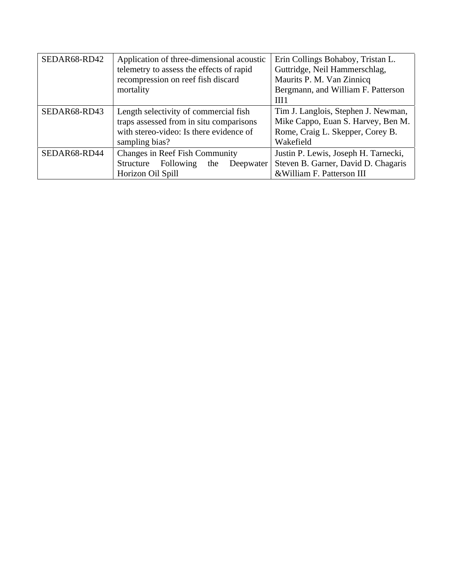| SEDAR68-RD42 | Application of three-dimensional acoustic<br>telemetry to assess the effects of rapid | Erin Collings Bohaboy, Tristan L.<br>Guttridge, Neil Hammerschlag, |
|--------------|---------------------------------------------------------------------------------------|--------------------------------------------------------------------|
|              | recompression on reef fish discard                                                    | Maurits P. M. Van Zinnicq                                          |
|              | mortality                                                                             | Bergmann, and William F. Patterson                                 |
|              |                                                                                       | III1                                                               |
| SEDAR68-RD43 | Length selectivity of commercial fish                                                 | Tim J. Langlois, Stephen J. Newman,                                |
|              | traps assessed from in situ comparisons                                               | Mike Cappo, Euan S. Harvey, Ben M.                                 |
|              | with stereo-video: Is there evidence of                                               | Rome, Craig L. Skepper, Corey B.                                   |
|              | sampling bias?                                                                        | Wakefield                                                          |
| SEDAR68-RD44 | <b>Changes in Reef Fish Community</b>                                                 | Justin P. Lewis, Joseph H. Tarnecki,                               |
|              | Structure Following<br>the<br>Deepwater                                               | Steven B. Garner, David D. Chagaris                                |
|              | Horizon Oil Spill                                                                     | & William F. Patterson III                                         |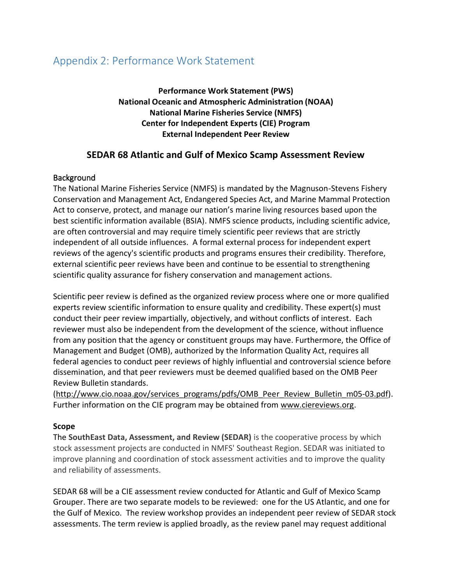## Appendix 2: Performance Work Statement

**Performance Work Statement (PWS) National Oceanic and Atmospheric Administration (NOAA) National Marine Fisheries Service (NMFS) Center for Independent Experts (CIE) Program External Independent Peer Review**

## **SEDAR 68 Atlantic and Gulf of Mexico Scamp Assessment Review**

### **Background**

The National Marine Fisheries Service (NMFS) is mandated by the Magnuson-Stevens Fishery Conservation and Management Act, Endangered Species Act, and Marine Mammal Protection Act to conserve, protect, and manage our nation's marine living resources based upon the best scientific information available (BSIA). NMFS science products, including scientific advice, are often controversial and may require timely scientific peer reviews that are strictly independent of all outside influences. A formal external process for independent expert reviews of the agency's scientific products and programs ensures their credibility. Therefore, external scientific peer reviews have been and continue to be essential to strengthening scientific quality assurance for fishery conservation and management actions.

Scientific peer review is defined as the organized review process where one or more qualified experts review scientific information to ensure quality and credibility. These expert(s) must conduct their peer review impartially, objectively, and without conflicts of interest. Each reviewer must also be independent from the development of the science, without influence from any position that the agency or constituent groups may have. Furthermore, the Office of Management and Budget (OMB), authorized by the Information Quality Act, requires all federal agencies to conduct peer reviews of highly influential and controversial science before dissemination, and that peer reviewers must be deemed qualified based on the OMB Peer Review Bulletin standards.

[\(http://www.cio.noaa.gov/services\\_programs/pdfs/OMB\\_Peer\\_Review\\_Bulletin\\_m05-03.pdf\)](http://www.cio.noaa.gov/services_programs/pdfs/OMB_Peer_Review_Bulletin_m05-03.pdf). Further information on the CIE program may be obtained from [www.ciereviews.org.](http://www.ciereviews.com/)

#### **Scope**

The **SouthEast Data, Assessment, and Review (SEDAR)** is the cooperative process by which stock assessment projects are conducted in NMFS' Southeast Region. SEDAR was initiated to improve planning and coordination of stock assessment activities and to improve the quality and reliability of assessments.

SEDAR 68 will be a CIE assessment review conducted for Atlantic and Gulf of Mexico Scamp Grouper. There are two separate models to be reviewed: one for the US Atlantic, and one for the Gulf of Mexico. The review workshop provides an independent peer review of SEDAR stock assessments. The term review is applied broadly, as the review panel may request additional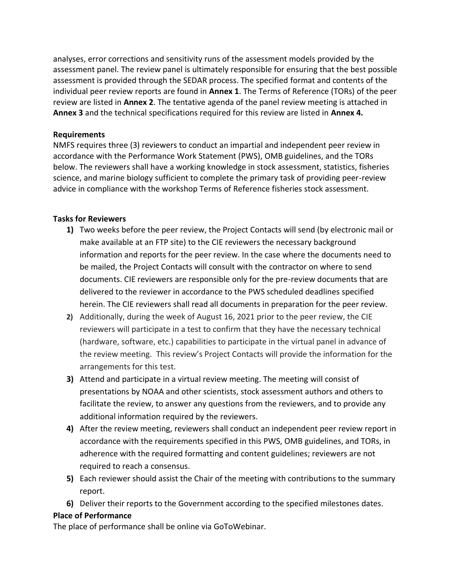analyses, error corrections and sensitivity runs of the assessment models provided by the assessment panel. The review panel is ultimately responsible for ensuring that the best possible assessment is provided through the SEDAR process. The specified format and contents of the individual peer review reports are found in **Annex 1**. The Terms of Reference (TORs) of the peer review are listed in **Annex 2**. The tentative agenda of the panel review meeting is attached in **Annex 3** and the technical specifications required for this review are listed in **Annex 4.**

### **Requirements**

NMFS requires three (3) reviewers to conduct an impartial and independent peer review in accordance with the Performance Work Statement (PWS), OMB guidelines, and the TORs below. The reviewers shall have a working knowledge in stock assessment, statistics, fisheries science, and marine biology sufficient to complete the primary task of providing peer-review advice in compliance with the workshop Terms of Reference fisheries stock assessment.

### **Tasks for Reviewers**

- **1)** Two weeks before the peer review, the Project Contacts will send (by electronic mail or make available at an FTP site) to the CIE reviewers the necessary background information and reports for the peer review. In the case where the documents need to be mailed, the Project Contacts will consult with the contractor on where to send documents. CIE reviewers are responsible only for the pre-review documents that are delivered to the reviewer in accordance to the PWS scheduled deadlines specified herein. The CIE reviewers shall read all documents in preparation for the peer review.
- **2)** Additionally, during the week of August 16, 2021 prior to the peer review, the CIE reviewers will participate in a test to confirm that they have the necessary technical (hardware, software, etc.) capabilities to participate in the virtual panel in advance of the review meeting. This review's Project Contacts will provide the information for the arrangements for this test.
- **3)** Attend and participate in a virtual review meeting. The meeting will consist of presentations by NOAA and other scientists, stock assessment authors and others to facilitate the review, to answer any questions from the reviewers, and to provide any additional information required by the reviewers.
- **4)** After the review meeting, reviewers shall conduct an independent peer review report in accordance with the requirements specified in this PWS, OMB guidelines, and TORs, in adherence with the required formatting and content guidelines; reviewers are not required to reach a consensus.
- **5)** Each reviewer should assist the Chair of the meeting with contributions to the summary report.
- **6)** Deliver their reports to the Government according to the specified milestones dates.

#### **Place of Performance**

The place of performance shall be online via GoToWebinar.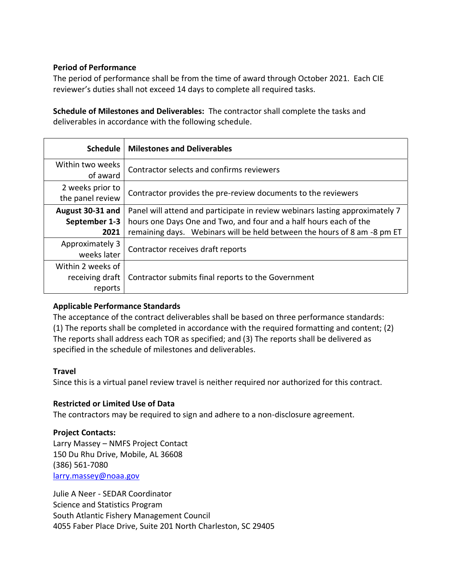### **Period of Performance**

The period of performance shall be from the time of award through October 2021. Each CIE reviewer's duties shall not exceed 14 days to complete all required tasks.

**Schedule of Milestones and Deliverables:** The contractor shall complete the tasks and deliverables in accordance with the following schedule.

| <b>Schedule</b>                      | <b>Milestones and Deliverables</b>                                           |
|--------------------------------------|------------------------------------------------------------------------------|
| Within two weeks<br>of award         | Contractor selects and confirms reviewers                                    |
|                                      |                                                                              |
| 2 weeks prior to<br>the panel review | Contractor provides the pre-review documents to the reviewers                |
| August 30-31 and                     | Panel will attend and participate in review webinars lasting approximately 7 |
| September 1-3                        | hours one Days One and Two, and four and a half hours each of the            |
| 2021                                 | remaining days. Webinars will be held between the hours of 8 am -8 pm ET     |
| Approximately 3                      | Contractor receives draft reports                                            |
| weeks later                          |                                                                              |
| Within 2 weeks of                    |                                                                              |
| receiving draft                      | Contractor submits final reports to the Government                           |
| reports                              |                                                                              |

#### **Applicable Performance Standards**

The acceptance of the contract deliverables shall be based on three performance standards: (1) The reports shall be completed in accordance with the required formatting and content; (2) The reports shall address each TOR as specified; and (3) The reports shall be delivered as specified in the schedule of milestones and deliverables.

#### **Travel**

Since this is a virtual panel review travel is neither required nor authorized for this contract.

## **Restricted or Limited Use of Data**

The contractors may be required to sign and adhere to a non-disclosure agreement.

## **Project Contacts:**

Larry Massey – NMFS Project Contact 150 Du Rhu Drive, Mobile, AL 36608 (386) 561-7080 [larry.massey@noaa.gov](https://mail.google.com/mail/?view=cm&fs=1&tf=1&to=larry.massey@noaa.gov&su=&body=)

Julie A Neer - SEDAR Coordinator Science and Statistics Program South Atlantic Fishery Management Council 4055 Faber Place Drive, Suite 201 North Charleston, SC 29405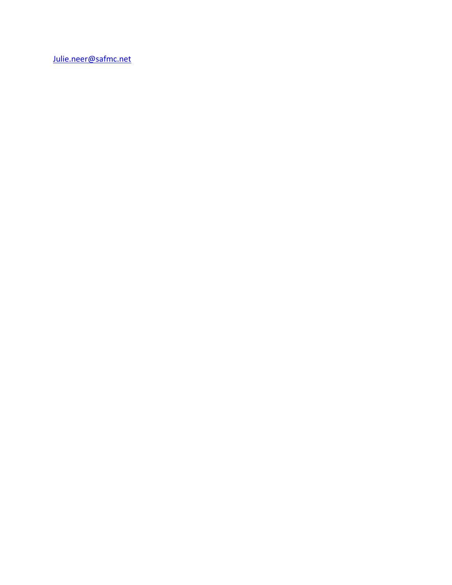[Julie.neer@safmc.net](mailto:Julie.neer@safmc.net)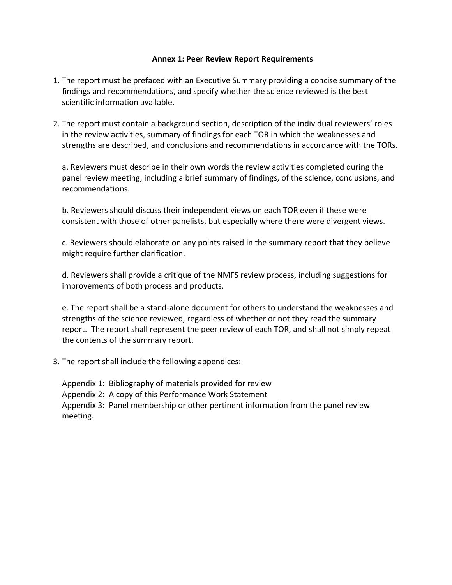#### **Annex 1: Peer Review Report Requirements**

- 1. The report must be prefaced with an Executive Summary providing a concise summary of the findings and recommendations, and specify whether the science reviewed is the best scientific information available.
- 2. The report must contain a background section, description of the individual reviewers' roles in the review activities, summary of findings for each TOR in which the weaknesses and strengths are described, and conclusions and recommendations in accordance with the TORs.

a. Reviewers must describe in their own words the review activities completed during the panel review meeting, including a brief summary of findings, of the science, conclusions, and recommendations.

b. Reviewers should discuss their independent views on each TOR even if these were consistent with those of other panelists, but especially where there were divergent views.

c. Reviewers should elaborate on any points raised in the summary report that they believe might require further clarification.

d. Reviewers shall provide a critique of the NMFS review process, including suggestions for improvements of both process and products.

e. The report shall be a stand-alone document for others to understand the weaknesses and strengths of the science reviewed, regardless of whether or not they read the summary report. The report shall represent the peer review of each TOR, and shall not simply repeat the contents of the summary report.

3. The report shall include the following appendices:

Appendix 1: Bibliography of materials provided for review Appendix 2: A copy of this Performance Work Statement Appendix 3: Panel membership or other pertinent information from the panel review meeting.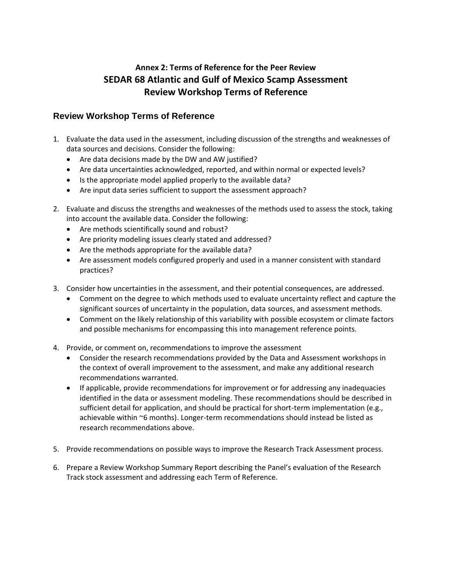## **Annex 2: Terms of Reference for the Peer Review SEDAR 68 Atlantic and Gulf of Mexico Scamp Assessment Review Workshop Terms of Reference**

## **Review Workshop Terms of Reference**

- 1. Evaluate the data used in the assessment, including discussion of the strengths and weaknesses of data sources and decisions. Consider the following:
	- Are data decisions made by the DW and AW justified?
	- Are data uncertainties acknowledged, reported, and within normal or expected levels?
	- Is the appropriate model applied properly to the available data?
	- Are input data series sufficient to support the assessment approach?
- 2. Evaluate and discuss the strengths and weaknesses of the methods used to assess the stock, taking into account the available data. Consider the following:
	- Are methods scientifically sound and robust?
	- Are priority modeling issues clearly stated and addressed?
	- Are the methods appropriate for the available data?
	- Are assessment models configured properly and used in a manner consistent with standard practices?
- 3. Consider how uncertainties in the assessment, and their potential consequences, are addressed.
	- Comment on the degree to which methods used to evaluate uncertainty reflect and capture the significant sources of uncertainty in the population, data sources, and assessment methods.
	- Comment on the likely relationship of this variability with possible ecosystem or climate factors and possible mechanisms for encompassing this into management reference points.
- 4. Provide, or comment on, recommendations to improve the assessment
	- Consider the research recommendations provided by the Data and Assessment workshops in the context of overall improvement to the assessment, and make any additional research recommendations warranted.
	- If applicable, provide recommendations for improvement or for addressing any inadequacies identified in the data or assessment modeling. These recommendations should be described in sufficient detail for application, and should be practical for short-term implementation (e.g., achievable within ~6 months). Longer-term recommendations should instead be listed as research recommendations above.
- 5. Provide recommendations on possible ways to improve the Research Track Assessment process.
- 6. Prepare a Review Workshop Summary Report describing the Panel's evaluation of the Research Track stock assessment and addressing each Term of Reference.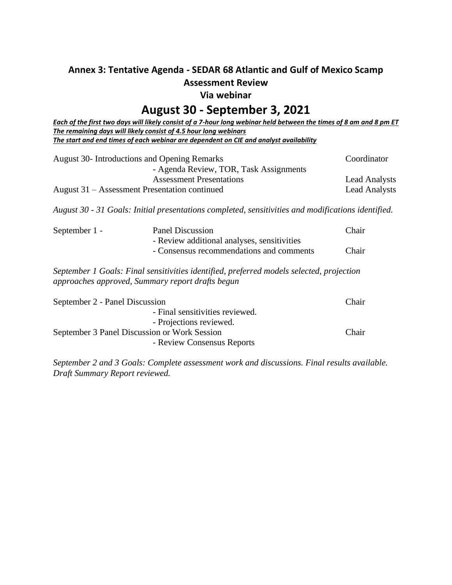## **Annex 3: Tentative Agenda - SEDAR 68 Atlantic and Gulf of Mexico Scamp Assessment Review**

**Via webinar** 

## **August 30 - September 3, 2021**

*Each of the first two days will likely consist of a 7-hour long webinar held between the times of 8 am and 8 pm ET The remaining days will likely consist of 4.5 hour long webinars The start and end times of each webinar are dependent on CIE and analyst availability*

| <b>August 30-</b> Introductions and Opening Remarks | Coordinator          |
|-----------------------------------------------------|----------------------|
| - Agenda Review, TOR, Task Assignments              |                      |
| <b>Assessment Presentations</b>                     | <b>Lead Analysts</b> |
| August 31 – Assessment Presentation continued       | <b>Lead Analysts</b> |

*August 30 - 31 Goals: Initial presentations completed, sensitivities and modifications identified.*

| September 1 - | Panel Discussion<br>- Review additional analyses, sensitivities                          | Chair |
|---------------|------------------------------------------------------------------------------------------|-------|
|               | - Consensus recommendations and comments                                                 | Chair |
|               | September 1 Goals: Final sensitivities identified, preferred models selected, projection |       |

*September 1 Goals: Final sensitivities identified, preferred models selected, projection approaches approved, Summary report drafts begun*

| September 2 - Panel Discussion               | <b>Chair</b> |
|----------------------------------------------|--------------|
| - Final sensitivities reviewed.              |              |
| - Projections reviewed.                      |              |
| September 3 Panel Discussion or Work Session | <b>Chair</b> |
| - Review Consensus Reports                   |              |

*September 2 and 3 Goals: Complete assessment work and discussions. Final results available. Draft Summary Report reviewed.*